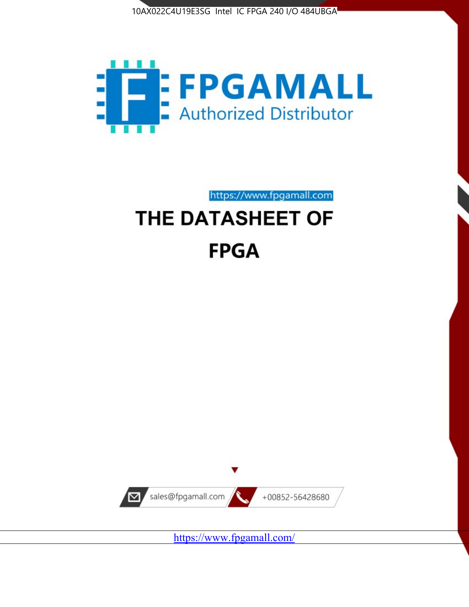



# https://www.fpgamall.com THE DATASHEET OF

# **FPGA**



<https://www.fpgamall.com/>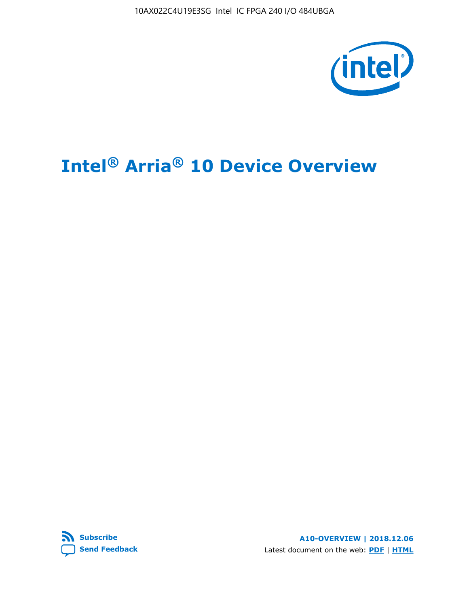10AX022C4U19E3SG Intel IC FPGA 240 I/O 484UBGA



# **Intel® Arria® 10 Device Overview**



**A10-OVERVIEW | 2018.12.06** Latest document on the web: **[PDF](https://www.intel.com/content/dam/www/programmable/us/en/pdfs/literature/hb/arria-10/a10_overview.pdf)** | **[HTML](https://www.intel.com/content/www/us/en/programmable/documentation/sam1403480274650.html)**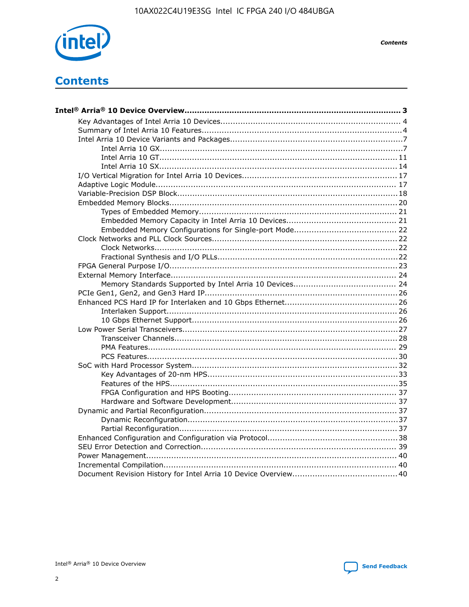

**Contents** 

# **Contents**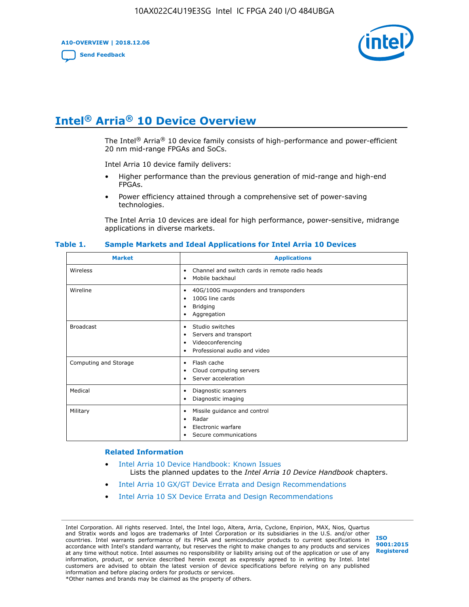**A10-OVERVIEW | 2018.12.06**

**[Send Feedback](mailto:FPGAtechdocfeedback@intel.com?subject=Feedback%20on%20Intel%20Arria%2010%20Device%20Overview%20(A10-OVERVIEW%202018.12.06)&body=We%20appreciate%20your%20feedback.%20In%20your%20comments,%20also%20specify%20the%20page%20number%20or%20paragraph.%20Thank%20you.)**



# **Intel® Arria® 10 Device Overview**

The Intel<sup>®</sup> Arria<sup>®</sup> 10 device family consists of high-performance and power-efficient 20 nm mid-range FPGAs and SoCs.

Intel Arria 10 device family delivers:

- Higher performance than the previous generation of mid-range and high-end FPGAs.
- Power efficiency attained through a comprehensive set of power-saving technologies.

The Intel Arria 10 devices are ideal for high performance, power-sensitive, midrange applications in diverse markets.

| <b>Market</b>         | <b>Applications</b>                                                                                               |
|-----------------------|-------------------------------------------------------------------------------------------------------------------|
| Wireless              | Channel and switch cards in remote radio heads<br>٠<br>Mobile backhaul<br>٠                                       |
| Wireline              | 40G/100G muxponders and transponders<br>٠<br>100G line cards<br>٠<br><b>Bridging</b><br>٠<br>Aggregation<br>٠     |
| <b>Broadcast</b>      | Studio switches<br>٠<br>Servers and transport<br>٠<br>Videoconferencing<br>٠<br>Professional audio and video<br>٠ |
| Computing and Storage | Flash cache<br>٠<br>Cloud computing servers<br>٠<br>Server acceleration<br>٠                                      |
| Medical               | Diagnostic scanners<br>٠<br>Diagnostic imaging<br>٠                                                               |
| Military              | Missile guidance and control<br>٠<br>Radar<br>٠<br>Electronic warfare<br>٠<br>Secure communications<br>٠          |

#### **Table 1. Sample Markets and Ideal Applications for Intel Arria 10 Devices**

#### **Related Information**

- [Intel Arria 10 Device Handbook: Known Issues](http://www.altera.com/support/kdb/solutions/rd07302013_646.html) Lists the planned updates to the *Intel Arria 10 Device Handbook* chapters.
- [Intel Arria 10 GX/GT Device Errata and Design Recommendations](https://www.intel.com/content/www/us/en/programmable/documentation/agz1493851706374.html#yqz1494433888646)
- [Intel Arria 10 SX Device Errata and Design Recommendations](https://www.intel.com/content/www/us/en/programmable/documentation/cru1462832385668.html#cru1462832558642)

Intel Corporation. All rights reserved. Intel, the Intel logo, Altera, Arria, Cyclone, Enpirion, MAX, Nios, Quartus and Stratix words and logos are trademarks of Intel Corporation or its subsidiaries in the U.S. and/or other countries. Intel warrants performance of its FPGA and semiconductor products to current specifications in accordance with Intel's standard warranty, but reserves the right to make changes to any products and services at any time without notice. Intel assumes no responsibility or liability arising out of the application or use of any information, product, or service described herein except as expressly agreed to in writing by Intel. Intel customers are advised to obtain the latest version of device specifications before relying on any published information and before placing orders for products or services. \*Other names and brands may be claimed as the property of others.

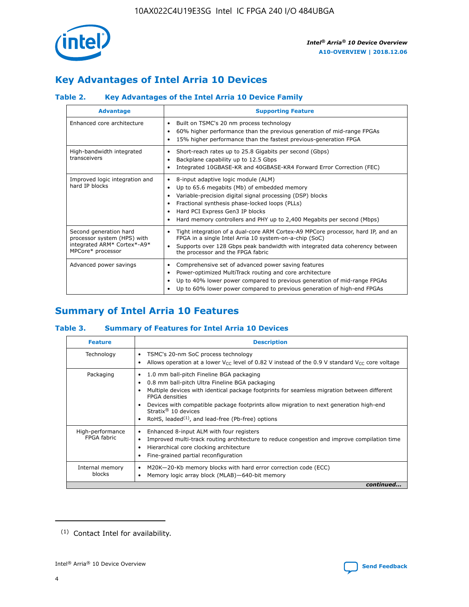

# **Key Advantages of Intel Arria 10 Devices**

# **Table 2. Key Advantages of the Intel Arria 10 Device Family**

| <b>Advantage</b>                                                                                          | <b>Supporting Feature</b>                                                                                                                                                                                                                                                                                                |
|-----------------------------------------------------------------------------------------------------------|--------------------------------------------------------------------------------------------------------------------------------------------------------------------------------------------------------------------------------------------------------------------------------------------------------------------------|
| Enhanced core architecture                                                                                | Built on TSMC's 20 nm process technology<br>٠<br>60% higher performance than the previous generation of mid-range FPGAs<br>٠<br>15% higher performance than the fastest previous-generation FPGA<br>٠                                                                                                                    |
| High-bandwidth integrated<br>transceivers                                                                 | Short-reach rates up to 25.8 Gigabits per second (Gbps)<br>٠<br>Backplane capability up to 12.5 Gbps<br>٠<br>Integrated 10GBASE-KR and 40GBASE-KR4 Forward Error Correction (FEC)<br>٠                                                                                                                                   |
| Improved logic integration and<br>hard IP blocks                                                          | 8-input adaptive logic module (ALM)<br>٠<br>Up to 65.6 megabits (Mb) of embedded memory<br>٠<br>Variable-precision digital signal processing (DSP) blocks<br>Fractional synthesis phase-locked loops (PLLs)<br>Hard PCI Express Gen3 IP blocks<br>Hard memory controllers and PHY up to 2,400 Megabits per second (Mbps) |
| Second generation hard<br>processor system (HPS) with<br>integrated ARM* Cortex*-A9*<br>MPCore* processor | Tight integration of a dual-core ARM Cortex-A9 MPCore processor, hard IP, and an<br>٠<br>FPGA in a single Intel Arria 10 system-on-a-chip (SoC)<br>Supports over 128 Gbps peak bandwidth with integrated data coherency between<br>$\bullet$<br>the processor and the FPGA fabric                                        |
| Advanced power savings                                                                                    | Comprehensive set of advanced power saving features<br>٠<br>Power-optimized MultiTrack routing and core architecture<br>٠<br>Up to 40% lower power compared to previous generation of mid-range FPGAs<br>٠<br>Up to 60% lower power compared to previous generation of high-end FPGAs                                    |

# **Summary of Intel Arria 10 Features**

## **Table 3. Summary of Features for Intel Arria 10 Devices**

| <b>Feature</b>                  | <b>Description</b>                                                                                                                                                                                                                                                                                                                                                                                       |
|---------------------------------|----------------------------------------------------------------------------------------------------------------------------------------------------------------------------------------------------------------------------------------------------------------------------------------------------------------------------------------------------------------------------------------------------------|
| Technology                      | TSMC's 20-nm SoC process technology<br>٠<br>Allows operation at a lower $V_{\text{CC}}$ level of 0.82 V instead of the 0.9 V standard $V_{\text{CC}}$ core voltage                                                                                                                                                                                                                                       |
| Packaging                       | 1.0 mm ball-pitch Fineline BGA packaging<br>0.8 mm ball-pitch Ultra Fineline BGA packaging<br>Multiple devices with identical package footprints for seamless migration between different<br><b>FPGA</b> densities<br>Devices with compatible package footprints allow migration to next generation high-end<br>Stratix $\mathcal{R}$ 10 devices<br>RoHS, leaded $(1)$ , and lead-free (Pb-free) options |
| High-performance<br>FPGA fabric | Enhanced 8-input ALM with four registers<br>٠<br>Improved multi-track routing architecture to reduce congestion and improve compilation time<br>Hierarchical core clocking architecture<br>Fine-grained partial reconfiguration                                                                                                                                                                          |
| Internal memory<br>blocks       | M20K-20-Kb memory blocks with hard error correction code (ECC)<br>Memory logic array block (MLAB)-640-bit memory                                                                                                                                                                                                                                                                                         |
|                                 | continued                                                                                                                                                                                                                                                                                                                                                                                                |



<sup>(1)</sup> Contact Intel for availability.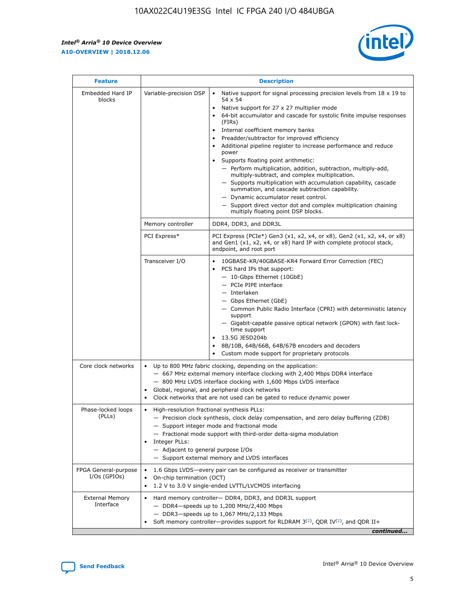r



| <b>Feature</b>                         | <b>Description</b>                                                                                             |                                                                                                                                                                                                                                                                                                                                                                                                                                                                                                                                                                                                                                                                                                                                                                                                                                        |  |  |  |  |  |
|----------------------------------------|----------------------------------------------------------------------------------------------------------------|----------------------------------------------------------------------------------------------------------------------------------------------------------------------------------------------------------------------------------------------------------------------------------------------------------------------------------------------------------------------------------------------------------------------------------------------------------------------------------------------------------------------------------------------------------------------------------------------------------------------------------------------------------------------------------------------------------------------------------------------------------------------------------------------------------------------------------------|--|--|--|--|--|
| Embedded Hard IP<br>blocks             | Variable-precision DSP                                                                                         | Native support for signal processing precision levels from $18 \times 19$ to<br>54 x 54<br>Native support for 27 x 27 multiplier mode<br>64-bit accumulator and cascade for systolic finite impulse responses<br>(FIRs)<br>Internal coefficient memory banks<br>$\bullet$<br>Preadder/subtractor for improved efficiency<br>Additional pipeline register to increase performance and reduce<br>power<br>Supports floating point arithmetic:<br>- Perform multiplication, addition, subtraction, multiply-add,<br>multiply-subtract, and complex multiplication.<br>- Supports multiplication with accumulation capability, cascade<br>summation, and cascade subtraction capability.<br>- Dynamic accumulator reset control.<br>- Support direct vector dot and complex multiplication chaining<br>multiply floating point DSP blocks. |  |  |  |  |  |
|                                        | Memory controller                                                                                              | DDR4, DDR3, and DDR3L                                                                                                                                                                                                                                                                                                                                                                                                                                                                                                                                                                                                                                                                                                                                                                                                                  |  |  |  |  |  |
|                                        | PCI Express*                                                                                                   | PCI Express (PCIe*) Gen3 (x1, x2, x4, or x8), Gen2 (x1, x2, x4, or x8)<br>and Gen1 (x1, x2, x4, or x8) hard IP with complete protocol stack,<br>endpoint, and root port                                                                                                                                                                                                                                                                                                                                                                                                                                                                                                                                                                                                                                                                |  |  |  |  |  |
|                                        | Transceiver I/O                                                                                                | 10GBASE-KR/40GBASE-KR4 Forward Error Correction (FEC)<br>PCS hard IPs that support:<br>$\bullet$<br>- 10-Gbps Ethernet (10GbE)<br>- PCIe PIPE interface<br>$-$ Interlaken<br>- Gbps Ethernet (GbE)<br>- Common Public Radio Interface (CPRI) with deterministic latency<br>support<br>- Gigabit-capable passive optical network (GPON) with fast lock-<br>time support<br>13.5G JESD204b<br>$\bullet$<br>8B/10B, 64B/66B, 64B/67B encoders and decoders<br>Custom mode support for proprietary protocols                                                                                                                                                                                                                                                                                                                               |  |  |  |  |  |
| Core clock networks                    | $\bullet$<br>$\bullet$                                                                                         | Up to 800 MHz fabric clocking, depending on the application:<br>- 667 MHz external memory interface clocking with 2,400 Mbps DDR4 interface<br>- 800 MHz LVDS interface clocking with 1,600 Mbps LVDS interface<br>Global, regional, and peripheral clock networks<br>Clock networks that are not used can be gated to reduce dynamic power                                                                                                                                                                                                                                                                                                                                                                                                                                                                                            |  |  |  |  |  |
| Phase-locked loops<br>(PLLs)           | High-resolution fractional synthesis PLLs:<br>$\bullet$<br>Integer PLLs:<br>- Adjacent to general purpose I/Os | - Precision clock synthesis, clock delay compensation, and zero delay buffering (ZDB)<br>- Support integer mode and fractional mode<br>- Fractional mode support with third-order delta-sigma modulation<br>- Support external memory and LVDS interfaces                                                                                                                                                                                                                                                                                                                                                                                                                                                                                                                                                                              |  |  |  |  |  |
| FPGA General-purpose<br>$I/Os$ (GPIOs) | On-chip termination (OCT)                                                                                      | 1.6 Gbps LVDS-every pair can be configured as receiver or transmitter<br>1.2 V to 3.0 V single-ended LVTTL/LVCMOS interfacing                                                                                                                                                                                                                                                                                                                                                                                                                                                                                                                                                                                                                                                                                                          |  |  |  |  |  |
| <b>External Memory</b><br>Interface    |                                                                                                                | Hard memory controller- DDR4, DDR3, and DDR3L support<br>$-$ DDR4 $-$ speeds up to 1,200 MHz/2,400 Mbps<br>- DDR3-speeds up to 1,067 MHz/2,133 Mbps<br>Soft memory controller—provides support for RLDRAM $3^{(2)}$ , QDR IV $^{(2)}$ , and QDR II+<br>continued                                                                                                                                                                                                                                                                                                                                                                                                                                                                                                                                                                       |  |  |  |  |  |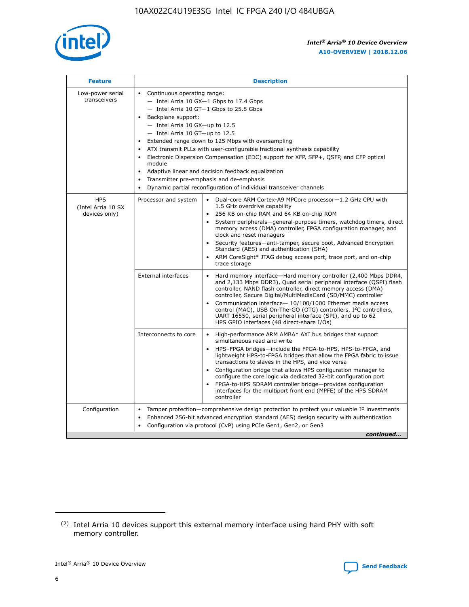

| <b>Feature</b>                                    | <b>Description</b>                                                                                                                                                                                                                                                                                                                                                                                                                                                                                                                                                                                                                                                        |
|---------------------------------------------------|---------------------------------------------------------------------------------------------------------------------------------------------------------------------------------------------------------------------------------------------------------------------------------------------------------------------------------------------------------------------------------------------------------------------------------------------------------------------------------------------------------------------------------------------------------------------------------------------------------------------------------------------------------------------------|
| Low-power serial<br>transceivers                  | • Continuous operating range:<br>- Intel Arria 10 GX-1 Gbps to 17.4 Gbps<br>$-$ Intel Arria 10 GT $-1$ Gbps to 25.8 Gbps<br>Backplane support:<br>$\bullet$<br>$-$ Intel Arria 10 GX-up to 12.5<br>$-$ Intel Arria 10 GT-up to 12.5<br>Extended range down to 125 Mbps with oversampling<br>ATX transmit PLLs with user-configurable fractional synthesis capability<br>Electronic Dispersion Compensation (EDC) support for XFP, SFP+, OSFP, and CFP optical<br>module<br>Adaptive linear and decision feedback equalization<br>$\bullet$<br>Transmitter pre-emphasis and de-emphasis<br>$\bullet$<br>Dynamic partial reconfiguration of individual transceiver channels |
| <b>HPS</b><br>(Intel Arria 10 SX<br>devices only) | Dual-core ARM Cortex-A9 MPCore processor-1.2 GHz CPU with<br>Processor and system<br>$\bullet$<br>1.5 GHz overdrive capability<br>256 KB on-chip RAM and 64 KB on-chip ROM<br>System peripherals-general-purpose timers, watchdog timers, direct<br>memory access (DMA) controller, FPGA configuration manager, and<br>clock and reset managers<br>• Security features—anti-tamper, secure boot, Advanced Encryption<br>Standard (AES) and authentication (SHA)<br>ARM CoreSight* JTAG debug access port, trace port, and on-chip<br>$\bullet$<br>trace storage                                                                                                           |
|                                                   | <b>External interfaces</b><br>Hard memory interface—Hard memory controller (2,400 Mbps DDR4,<br>and 2,133 Mbps DDR3), Quad serial peripheral interface (QSPI) flash<br>controller, NAND flash controller, direct memory access (DMA)<br>controller, Secure Digital/MultiMediaCard (SD/MMC) controller<br>Communication interface-10/100/1000 Ethernet media access<br>$\bullet$<br>control (MAC), USB On-The-GO (OTG) controllers, I <sup>2</sup> C controllers,<br>UART 16550, serial peripheral interface (SPI), and up to 62<br>HPS GPIO interfaces (48 direct-share I/Os)                                                                                             |
|                                                   | Interconnects to core<br>• High-performance ARM AMBA* AXI bus bridges that support<br>simultaneous read and write<br>HPS-FPGA bridges-include the FPGA-to-HPS, HPS-to-FPGA, and<br>$\bullet$<br>lightweight HPS-to-FPGA bridges that allow the FPGA fabric to issue<br>transactions to slaves in the HPS, and vice versa<br>Configuration bridge that allows HPS configuration manager to<br>configure the core logic via dedicated 32-bit configuration port<br>FPGA-to-HPS SDRAM controller bridge-provides configuration<br>interfaces for the multiport front end (MPFE) of the HPS SDRAM<br>controller                                                               |
| Configuration                                     | Tamper protection—comprehensive design protection to protect your valuable IP investments<br>Enhanced 256-bit advanced encryption standard (AES) design security with authentication<br>$\bullet$<br>Configuration via protocol (CvP) using PCIe Gen1, Gen2, or Gen3<br>continued                                                                                                                                                                                                                                                                                                                                                                                         |



<sup>(2)</sup> Intel Arria 10 devices support this external memory interface using hard PHY with soft memory controller.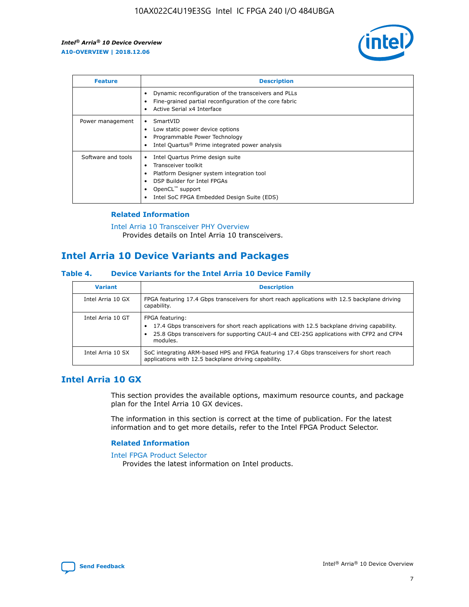

| <b>Feature</b>     | <b>Description</b>                                                                                                                                                                                                            |
|--------------------|-------------------------------------------------------------------------------------------------------------------------------------------------------------------------------------------------------------------------------|
|                    | Dynamic reconfiguration of the transceivers and PLLs<br>Fine-grained partial reconfiguration of the core fabric<br>Active Serial x4 Interface<br>$\bullet$                                                                    |
| Power management   | SmartVID<br>Low static power device options<br>Programmable Power Technology<br>Intel Quartus <sup>®</sup> Prime integrated power analysis                                                                                    |
| Software and tools | Intel Quartus Prime design suite<br>Transceiver toolkit<br>$\bullet$<br>Platform Designer system integration tool<br>DSP Builder for Intel FPGAs<br>OpenCL <sup>™</sup> support<br>Intel SoC FPGA Embedded Design Suite (EDS) |

## **Related Information**

#### [Intel Arria 10 Transceiver PHY Overview](https://www.intel.com/content/www/us/en/programmable/documentation/nik1398707230472.html#nik1398706768037) Provides details on Intel Arria 10 transceivers.

# **Intel Arria 10 Device Variants and Packages**

### **Table 4. Device Variants for the Intel Arria 10 Device Family**

| <b>Variant</b>    | <b>Description</b>                                                                                                                                                                                                     |
|-------------------|------------------------------------------------------------------------------------------------------------------------------------------------------------------------------------------------------------------------|
| Intel Arria 10 GX | FPGA featuring 17.4 Gbps transceivers for short reach applications with 12.5 backplane driving<br>capability.                                                                                                          |
| Intel Arria 10 GT | FPGA featuring:<br>17.4 Gbps transceivers for short reach applications with 12.5 backplane driving capability.<br>25.8 Gbps transceivers for supporting CAUI-4 and CEI-25G applications with CFP2 and CFP4<br>modules. |
| Intel Arria 10 SX | SoC integrating ARM-based HPS and FPGA featuring 17.4 Gbps transceivers for short reach<br>applications with 12.5 backplane driving capability.                                                                        |

# **Intel Arria 10 GX**

This section provides the available options, maximum resource counts, and package plan for the Intel Arria 10 GX devices.

The information in this section is correct at the time of publication. For the latest information and to get more details, refer to the Intel FPGA Product Selector.

## **Related Information**

#### [Intel FPGA Product Selector](http://www.altera.com/products/selector/psg-selector.html) Provides the latest information on Intel products.

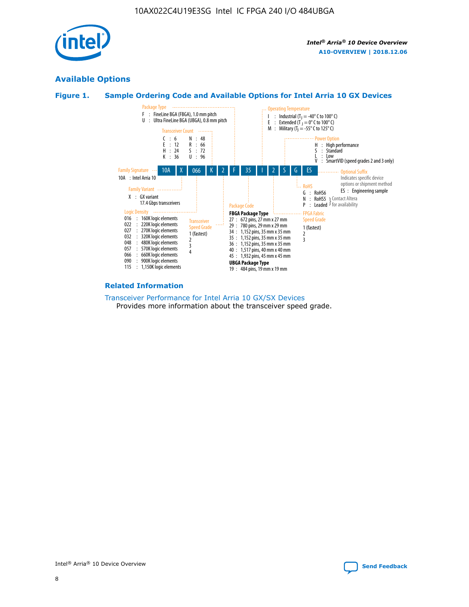

# **Available Options**





## **Related Information**

#### [Transceiver Performance for Intel Arria 10 GX/SX Devices](https://www.intel.com/content/www/us/en/programmable/documentation/mcn1413182292568.html#mcn1413213965502) Provides more information about the transceiver speed grade.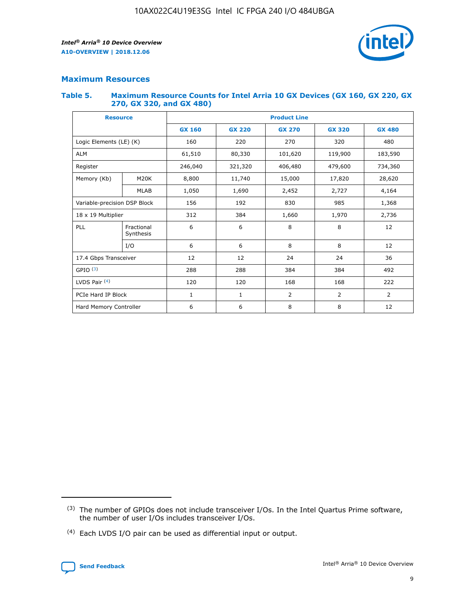

# **Maximum Resources**

#### **Table 5. Maximum Resource Counts for Intel Arria 10 GX Devices (GX 160, GX 220, GX 270, GX 320, and GX 480)**

| <b>Resource</b>              |                         | <b>Product Line</b> |                    |                |                |                |  |  |  |
|------------------------------|-------------------------|---------------------|--------------------|----------------|----------------|----------------|--|--|--|
|                              |                         | <b>GX 160</b>       | <b>GX 220</b>      | <b>GX 270</b>  | <b>GX 320</b>  | <b>GX 480</b>  |  |  |  |
| Logic Elements (LE) (K)      |                         | 160                 | 220                | 270            | 320            | 480            |  |  |  |
| <b>ALM</b>                   |                         | 61,510              | 80,330             | 101,620        | 119,900        | 183,590        |  |  |  |
| Register                     |                         | 246,040             | 406,480<br>321,320 |                | 479,600        | 734,360        |  |  |  |
| Memory (Kb)                  | M <sub>20</sub> K       | 8,800               | 11,740<br>15,000   |                | 17,820         | 28,620         |  |  |  |
| <b>MLAB</b>                  |                         | 1,050               | 1,690              | 2,452          | 2,727          | 4,164          |  |  |  |
| Variable-precision DSP Block |                         | 156                 | 192<br>830<br>985  |                |                | 1,368          |  |  |  |
| 18 x 19 Multiplier           |                         | 312                 | 384                | 1,970<br>1,660 |                | 2,736          |  |  |  |
| PLL                          | Fractional<br>Synthesis | 6                   | 6                  | 8              | 8              | 12             |  |  |  |
|                              | I/O                     | 6                   | 6                  | 8              | 8              | 12             |  |  |  |
| 17.4 Gbps Transceiver        |                         | 12                  | 12                 | 24             | 24             | 36             |  |  |  |
| GPIO <sup>(3)</sup>          |                         | 288                 | 288                | 384<br>384     |                | 492            |  |  |  |
| LVDS Pair $(4)$              |                         | 120                 | 120                | 168            | 168            | 222            |  |  |  |
| PCIe Hard IP Block           |                         | 1                   | 1                  | 2              | $\overline{2}$ | $\overline{2}$ |  |  |  |
| Hard Memory Controller       |                         | 6                   | 6                  | 8              | 8              | 12             |  |  |  |

<sup>(4)</sup> Each LVDS I/O pair can be used as differential input or output.



<sup>(3)</sup> The number of GPIOs does not include transceiver I/Os. In the Intel Quartus Prime software, the number of user I/Os includes transceiver I/Os.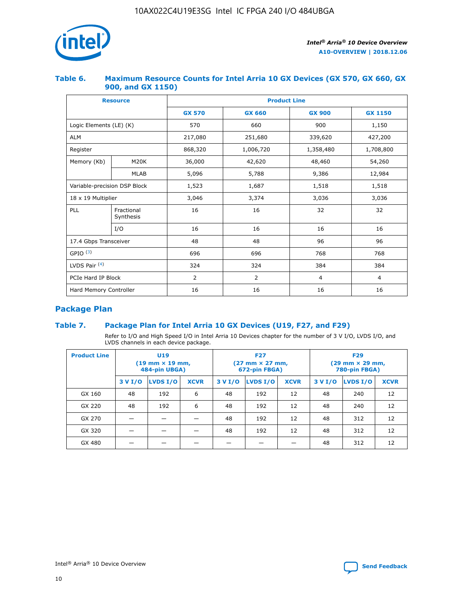

## **Table 6. Maximum Resource Counts for Intel Arria 10 GX Devices (GX 570, GX 660, GX 900, and GX 1150)**

|                              | <b>Resource</b>         | <b>Product Line</b> |                |                |                |  |  |  |
|------------------------------|-------------------------|---------------------|----------------|----------------|----------------|--|--|--|
|                              |                         | <b>GX 570</b>       | <b>GX 660</b>  | <b>GX 900</b>  | <b>GX 1150</b> |  |  |  |
| Logic Elements (LE) (K)      |                         | 570                 | 660            | 900            | 1,150          |  |  |  |
| <b>ALM</b>                   |                         | 217,080             | 251,680        | 339,620        | 427,200        |  |  |  |
| Register                     |                         | 868,320             | 1,006,720      | 1,358,480      | 1,708,800      |  |  |  |
| Memory (Kb)                  | <b>M20K</b>             | 36,000              | 42,620         | 48,460         | 54,260         |  |  |  |
| <b>MLAB</b>                  |                         | 5,096               | 5,788          | 9,386          | 12,984         |  |  |  |
| Variable-precision DSP Block |                         | 1,523               | 1,687          | 1,518          | 1,518          |  |  |  |
| 18 x 19 Multiplier           |                         | 3,046               | 3,374          | 3,036          | 3,036          |  |  |  |
| PLL                          | Fractional<br>Synthesis | 16                  | 16             | 32             | 32             |  |  |  |
|                              | I/O                     | 16                  | 16             | 16             | 16             |  |  |  |
| 17.4 Gbps Transceiver        |                         | 48                  | 48             | 96             | 96             |  |  |  |
| GPIO <sup>(3)</sup>          |                         | 696                 | 696            | 768            | 768            |  |  |  |
| LVDS Pair $(4)$              |                         | 324                 | 324            | 384            | 384            |  |  |  |
| PCIe Hard IP Block           |                         | 2                   | $\overline{2}$ | $\overline{4}$ | $\overline{4}$ |  |  |  |
| Hard Memory Controller       |                         | 16                  | 16             | 16             | 16             |  |  |  |

# **Package Plan**

# **Table 7. Package Plan for Intel Arria 10 GX Devices (U19, F27, and F29)**

Refer to I/O and High Speed I/O in Intel Arria 10 Devices chapter for the number of 3 V I/O, LVDS I/O, and LVDS channels in each device package.

| <b>Product Line</b> |         | U <sub>19</sub><br>$(19 \text{ mm} \times 19 \text{ mm})$<br>484-pin UBGA) |             | <b>F27</b><br>(27 mm × 27 mm,<br>672-pin FBGA) |                 |             | <b>F29</b><br>(29 mm × 29 mm,<br>780-pin FBGA) |          |             |  |
|---------------------|---------|----------------------------------------------------------------------------|-------------|------------------------------------------------|-----------------|-------------|------------------------------------------------|----------|-------------|--|
|                     | 3 V I/O | LVDS I/O                                                                   | <b>XCVR</b> | 3 V I/O                                        | <b>LVDS I/O</b> | <b>XCVR</b> | 3 V I/O                                        | LVDS I/O | <b>XCVR</b> |  |
| GX 160              | 48      | 192                                                                        | 6           | 48                                             | 192             | 12          | 48                                             | 240      | 12          |  |
| GX 220              | 48      | 192                                                                        | 6           | 48                                             | 192             | 12          | 48                                             | 240      | 12          |  |
| GX 270              |         |                                                                            |             | 48                                             | 192             | 12          | 48                                             | 312      | 12          |  |
| GX 320              |         |                                                                            |             | 48                                             | 192             | 12          | 48                                             | 312      | 12          |  |
| GX 480              |         |                                                                            |             |                                                |                 |             | 48                                             | 312      | 12          |  |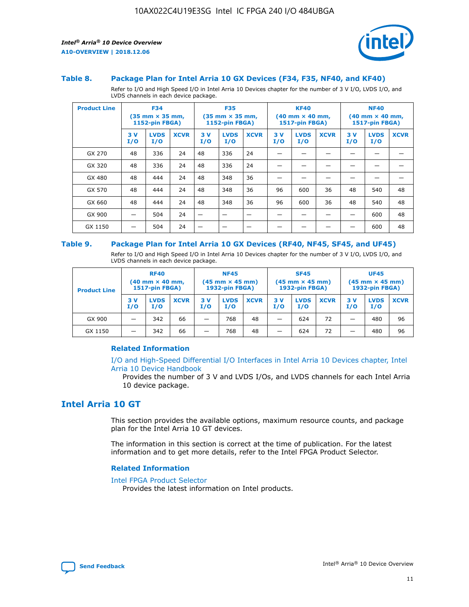

#### **Table 8. Package Plan for Intel Arria 10 GX Devices (F34, F35, NF40, and KF40)**

Refer to I/O and High Speed I/O in Intel Arria 10 Devices chapter for the number of 3 V I/O, LVDS I/O, and LVDS channels in each device package.

| <b>Product Line</b> |           | <b>F34</b><br>$(35 \text{ mm} \times 35 \text{ mm})$<br>1152-pin FBGA) |             | <b>F35</b><br>$(35 \text{ mm} \times 35 \text{ mm})$<br><b>1152-pin FBGA)</b> |                    | <b>KF40</b><br>$(40$ mm $\times$ 40 mm,<br>1517-pin FBGA) |           | <b>NF40</b><br>$(40$ mm $\times$ 40 mm,<br><b>1517-pin FBGA)</b> |             |            |                    |             |
|---------------------|-----------|------------------------------------------------------------------------|-------------|-------------------------------------------------------------------------------|--------------------|-----------------------------------------------------------|-----------|------------------------------------------------------------------|-------------|------------|--------------------|-------------|
|                     | 3V<br>I/O | <b>LVDS</b><br>I/O                                                     | <b>XCVR</b> | 3V<br>I/O                                                                     | <b>LVDS</b><br>I/O | <b>XCVR</b>                                               | 3V<br>I/O | <b>LVDS</b><br>I/O                                               | <b>XCVR</b> | 3 V<br>I/O | <b>LVDS</b><br>I/O | <b>XCVR</b> |
| GX 270              | 48        | 336                                                                    | 24          | 48                                                                            | 336                | 24                                                        |           |                                                                  |             |            |                    |             |
| GX 320              | 48        | 336                                                                    | 24          | 48                                                                            | 336                | 24                                                        |           |                                                                  |             |            |                    |             |
| GX 480              | 48        | 444                                                                    | 24          | 48                                                                            | 348                | 36                                                        |           |                                                                  |             |            |                    |             |
| GX 570              | 48        | 444                                                                    | 24          | 48                                                                            | 348                | 36                                                        | 96        | 600                                                              | 36          | 48         | 540                | 48          |
| GX 660              | 48        | 444                                                                    | 24          | 48                                                                            | 348                | 36                                                        | 96        | 600                                                              | 36          | 48         | 540                | 48          |
| GX 900              |           | 504                                                                    | 24          | -                                                                             |                    |                                                           |           |                                                                  |             |            | 600                | 48          |
| GX 1150             |           | 504                                                                    | 24          |                                                                               |                    |                                                           |           |                                                                  |             |            | 600                | 48          |

#### **Table 9. Package Plan for Intel Arria 10 GX Devices (RF40, NF45, SF45, and UF45)**

Refer to I/O and High Speed I/O in Intel Arria 10 Devices chapter for the number of 3 V I/O, LVDS I/O, and LVDS channels in each device package.

| <b>Product Line</b> | <b>RF40</b><br>$(40$ mm $\times$ 40 mm,<br>1517-pin FBGA) |                    | <b>NF45</b><br>$(45 \text{ mm} \times 45 \text{ mm})$<br><b>1932-pin FBGA)</b> |            |                    | <b>SF45</b><br>$(45 \text{ mm} \times 45 \text{ mm})$<br><b>1932-pin FBGA)</b> |            |                    | <b>UF45</b><br>$(45 \text{ mm} \times 45 \text{ mm})$<br><b>1932-pin FBGA)</b> |           |                    |             |
|---------------------|-----------------------------------------------------------|--------------------|--------------------------------------------------------------------------------|------------|--------------------|--------------------------------------------------------------------------------|------------|--------------------|--------------------------------------------------------------------------------|-----------|--------------------|-------------|
|                     | 3V<br>I/O                                                 | <b>LVDS</b><br>I/O | <b>XCVR</b>                                                                    | 3 V<br>I/O | <b>LVDS</b><br>I/O | <b>XCVR</b>                                                                    | 3 V<br>I/O | <b>LVDS</b><br>I/O | <b>XCVR</b>                                                                    | 3V<br>I/O | <b>LVDS</b><br>I/O | <b>XCVR</b> |
| GX 900              |                                                           | 342                | 66                                                                             | _          | 768                | 48                                                                             |            | 624                | 72                                                                             |           | 480                | 96          |
| GX 1150             |                                                           | 342                | 66                                                                             | _          | 768                | 48                                                                             |            | 624                | 72                                                                             |           | 480                | 96          |

## **Related Information**

[I/O and High-Speed Differential I/O Interfaces in Intel Arria 10 Devices chapter, Intel](https://www.intel.com/content/www/us/en/programmable/documentation/sam1403482614086.html#sam1403482030321) [Arria 10 Device Handbook](https://www.intel.com/content/www/us/en/programmable/documentation/sam1403482614086.html#sam1403482030321)

Provides the number of 3 V and LVDS I/Os, and LVDS channels for each Intel Arria 10 device package.

# **Intel Arria 10 GT**

This section provides the available options, maximum resource counts, and package plan for the Intel Arria 10 GT devices.

The information in this section is correct at the time of publication. For the latest information and to get more details, refer to the Intel FPGA Product Selector.

#### **Related Information**

#### [Intel FPGA Product Selector](http://www.altera.com/products/selector/psg-selector.html)

Provides the latest information on Intel products.

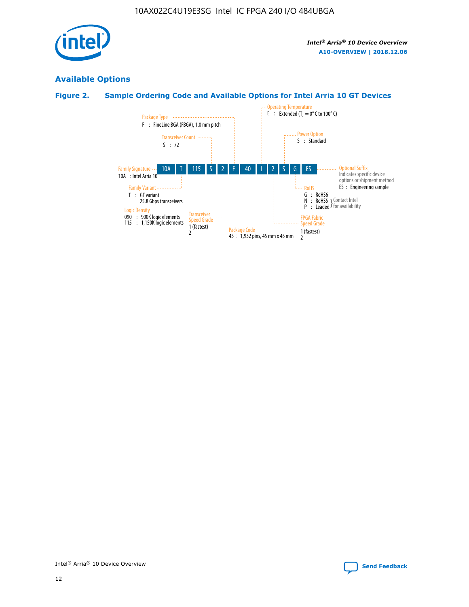

# **Available Options**

# **Figure 2. Sample Ordering Code and Available Options for Intel Arria 10 GT Devices**

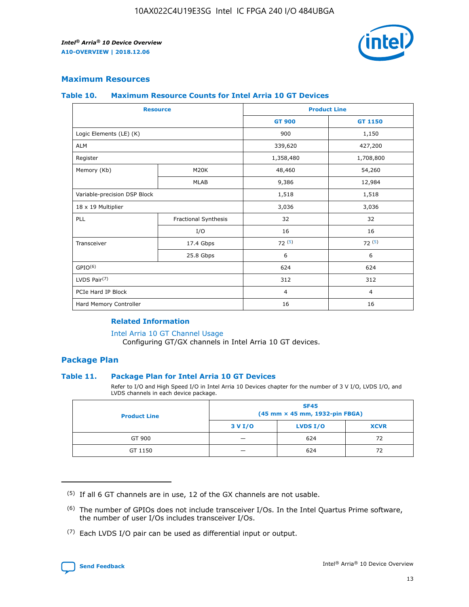

# **Maximum Resources**

#### **Table 10. Maximum Resource Counts for Intel Arria 10 GT Devices**

| <b>Resource</b>              |                      |                | <b>Product Line</b> |  |
|------------------------------|----------------------|----------------|---------------------|--|
|                              |                      | <b>GT 900</b>  | <b>GT 1150</b>      |  |
| Logic Elements (LE) (K)      |                      | 900            | 1,150               |  |
| <b>ALM</b>                   |                      | 339,620        | 427,200             |  |
| Register                     |                      | 1,358,480      | 1,708,800           |  |
| Memory (Kb)                  | M20K                 | 48,460         | 54,260              |  |
|                              | <b>MLAB</b>          | 9,386          | 12,984              |  |
| Variable-precision DSP Block |                      | 1,518          | 1,518               |  |
| 18 x 19 Multiplier           |                      | 3,036          | 3,036               |  |
| <b>PLL</b>                   | Fractional Synthesis | 32             | 32                  |  |
|                              | I/O                  | 16             | 16                  |  |
| Transceiver                  | 17.4 Gbps            | 72(5)          | 72(5)               |  |
|                              | 25.8 Gbps            | 6              | 6                   |  |
| GPIO <sup>(6)</sup>          |                      | 624            | 624                 |  |
| LVDS Pair $(7)$              |                      | 312            | 312                 |  |
| PCIe Hard IP Block           |                      | $\overline{4}$ | $\overline{4}$      |  |
| Hard Memory Controller       |                      | 16             | 16                  |  |

## **Related Information**

#### [Intel Arria 10 GT Channel Usage](https://www.intel.com/content/www/us/en/programmable/documentation/nik1398707230472.html#nik1398707008178)

Configuring GT/GX channels in Intel Arria 10 GT devices.

## **Package Plan**

### **Table 11. Package Plan for Intel Arria 10 GT Devices**

Refer to I/O and High Speed I/O in Intel Arria 10 Devices chapter for the number of 3 V I/O, LVDS I/O, and LVDS channels in each device package.

| <b>Product Line</b> | <b>SF45</b><br>(45 mm × 45 mm, 1932-pin FBGA) |                 |             |  |  |  |
|---------------------|-----------------------------------------------|-----------------|-------------|--|--|--|
|                     | 3 V I/O                                       | <b>LVDS I/O</b> | <b>XCVR</b> |  |  |  |
| GT 900              |                                               | 624             | 72          |  |  |  |
| GT 1150             |                                               | 624             | 72          |  |  |  |

<sup>(7)</sup> Each LVDS I/O pair can be used as differential input or output.



 $(5)$  If all 6 GT channels are in use, 12 of the GX channels are not usable.

<sup>(6)</sup> The number of GPIOs does not include transceiver I/Os. In the Intel Quartus Prime software, the number of user I/Os includes transceiver I/Os.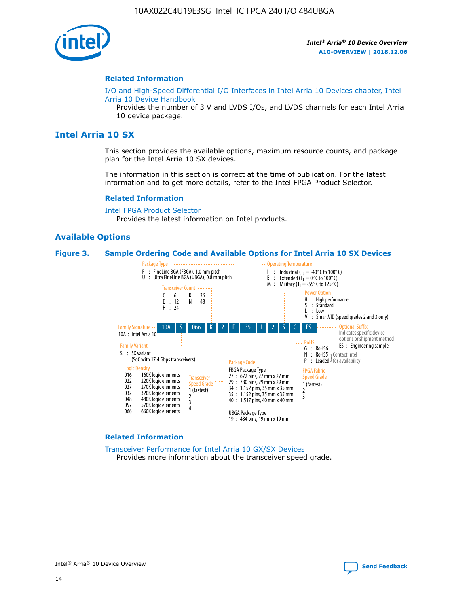

#### **Related Information**

[I/O and High-Speed Differential I/O Interfaces in Intel Arria 10 Devices chapter, Intel](https://www.intel.com/content/www/us/en/programmable/documentation/sam1403482614086.html#sam1403482030321) [Arria 10 Device Handbook](https://www.intel.com/content/www/us/en/programmable/documentation/sam1403482614086.html#sam1403482030321)

Provides the number of 3 V and LVDS I/Os, and LVDS channels for each Intel Arria 10 device package.

# **Intel Arria 10 SX**

This section provides the available options, maximum resource counts, and package plan for the Intel Arria 10 SX devices.

The information in this section is correct at the time of publication. For the latest information and to get more details, refer to the Intel FPGA Product Selector.

#### **Related Information**

[Intel FPGA Product Selector](http://www.altera.com/products/selector/psg-selector.html) Provides the latest information on Intel products.

### **Available Options**

#### **Figure 3. Sample Ordering Code and Available Options for Intel Arria 10 SX Devices**



#### **Related Information**

[Transceiver Performance for Intel Arria 10 GX/SX Devices](https://www.intel.com/content/www/us/en/programmable/documentation/mcn1413182292568.html#mcn1413213965502) Provides more information about the transceiver speed grade.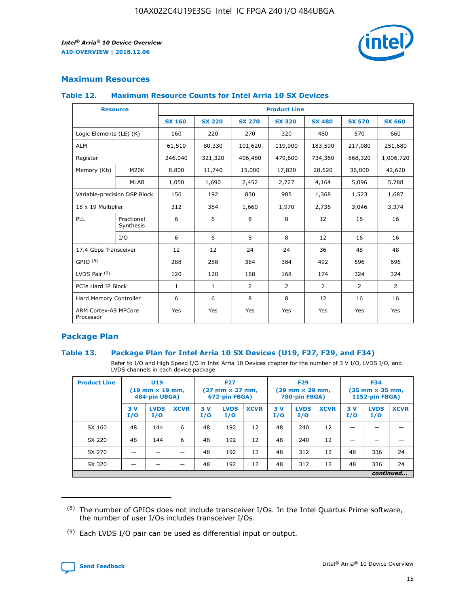

# **Maximum Resources**

## **Table 12. Maximum Resource Counts for Intel Arria 10 SX Devices**

|                                   | <b>Resource</b>         | <b>Product Line</b> |               |                |                |                |                |                |  |  |  |
|-----------------------------------|-------------------------|---------------------|---------------|----------------|----------------|----------------|----------------|----------------|--|--|--|
|                                   |                         | <b>SX 160</b>       | <b>SX 220</b> | <b>SX 270</b>  | <b>SX 320</b>  | <b>SX 480</b>  | <b>SX 570</b>  | <b>SX 660</b>  |  |  |  |
| Logic Elements (LE) (K)           |                         | 160                 | 220           | 270            | 320            | 480            | 570            | 660            |  |  |  |
| <b>ALM</b>                        |                         | 61,510              | 80,330        | 101,620        | 119,900        | 183,590        | 217,080        | 251,680        |  |  |  |
| Register                          |                         | 246,040             | 321,320       | 406,480        | 479,600        | 734,360        | 868,320        | 1,006,720      |  |  |  |
| Memory (Kb)                       | <b>M20K</b>             | 8,800               | 11,740        | 15,000         | 17,820         | 28,620         | 36,000         | 42,620         |  |  |  |
|                                   | <b>MLAB</b>             | 1,050               | 1,690         | 2,452          | 2,727          | 4,164          | 5,096          | 5,788          |  |  |  |
| Variable-precision DSP Block      |                         | 156                 | 192           | 830            | 985            | 1,368          | 1,523          | 1,687          |  |  |  |
| 18 x 19 Multiplier                |                         | 312                 | 384           | 1,660          | 1,970          | 2,736          | 3,046          | 3,374          |  |  |  |
| <b>PLL</b>                        | Fractional<br>Synthesis | 6                   | 6             | 8              | 8              | 12             | 16             | 16             |  |  |  |
|                                   | I/O                     | 6                   | 6             | 8              | 8              | 12             | 16             | 16             |  |  |  |
| 17.4 Gbps Transceiver             |                         | 12                  | 12            | 24             | 24             | 36             | 48             | 48             |  |  |  |
| GPIO <sup>(8)</sup>               |                         | 288                 | 288           | 384            | 384            | 492            | 696            | 696            |  |  |  |
| LVDS Pair $(9)$                   |                         | 120                 | 120           | 168            | 168            | 174            | 324            | 324            |  |  |  |
| PCIe Hard IP Block                |                         | $\mathbf{1}$        | $\mathbf{1}$  | $\overline{2}$ | $\overline{2}$ | $\overline{2}$ | $\overline{2}$ | $\overline{2}$ |  |  |  |
| Hard Memory Controller            |                         | 6                   | 6             | 8              | 8              | 12             | 16             | 16             |  |  |  |
| ARM Cortex-A9 MPCore<br>Processor |                         | Yes                 | Yes           | Yes            | Yes            | Yes            | Yes            | Yes            |  |  |  |

# **Package Plan**

# **Table 13. Package Plan for Intel Arria 10 SX Devices (U19, F27, F29, and F34)**

Refer to I/O and High Speed I/O in Intel Arria 10 Devices chapter for the number of 3 V I/O, LVDS I/O, and LVDS channels in each device package.

| <b>Product Line</b> | <b>U19</b><br>$(19 \text{ mm} \times 19 \text{ mm})$<br>484-pin UBGA) |                    | <b>F27</b><br>$(27 \text{ mm} \times 27 \text{ mm})$<br>672-pin FBGA) |           | <b>F29</b><br>$(29$ mm $\times$ 29 mm,<br>780-pin FBGA) |             |            | <b>F34</b><br>$(35 \text{ mm} \times 35 \text{ mm})$<br>1152-pin FBGA) |             |           |                    |             |
|---------------------|-----------------------------------------------------------------------|--------------------|-----------------------------------------------------------------------|-----------|---------------------------------------------------------|-------------|------------|------------------------------------------------------------------------|-------------|-----------|--------------------|-------------|
|                     | 3V<br>I/O                                                             | <b>LVDS</b><br>I/O | <b>XCVR</b>                                                           | 3V<br>I/O | <b>LVDS</b><br>I/O                                      | <b>XCVR</b> | 3 V<br>I/O | <b>LVDS</b><br>I/O                                                     | <b>XCVR</b> | 3V<br>I/O | <b>LVDS</b><br>I/O | <b>XCVR</b> |
| SX 160              | 48                                                                    | 144                | 6                                                                     | 48        | 192                                                     | 12          | 48         | 240                                                                    | 12          | –         |                    |             |
| SX 220              | 48                                                                    | 144                | 6                                                                     | 48        | 192                                                     | 12          | 48         | 240                                                                    | 12          |           |                    |             |
| SX 270              |                                                                       |                    |                                                                       | 48        | 192                                                     | 12          | 48         | 312                                                                    | 12          | 48        | 336                | 24          |
| SX 320              |                                                                       |                    |                                                                       | 48        | 192                                                     | 12          | 48         | 312                                                                    | 12          | 48        | 336                | 24          |
|                     | continued                                                             |                    |                                                                       |           |                                                         |             |            |                                                                        |             |           |                    |             |

 $(8)$  The number of GPIOs does not include transceiver I/Os. In the Intel Quartus Prime software, the number of user I/Os includes transceiver I/Os.

 $(9)$  Each LVDS I/O pair can be used as differential input or output.

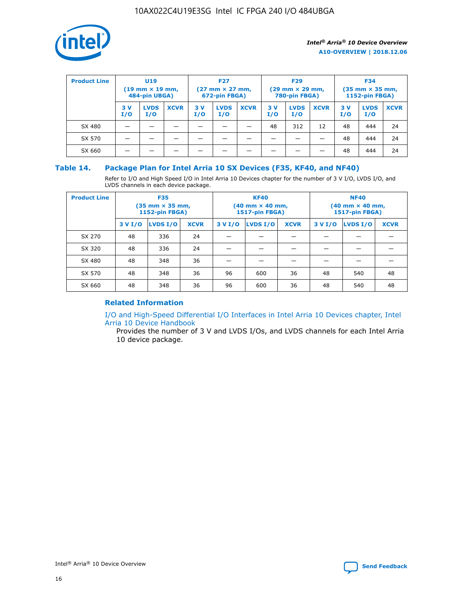

| <b>Product Line</b> | U <sub>19</sub><br>$(19 \text{ mm} \times 19 \text{ mm})$<br>484-pin UBGA) |                    | <b>F27</b><br>$(27 \text{ mm} \times 27 \text{ mm})$<br>672-pin FBGA) |           | <b>F29</b><br>$(29 \text{ mm} \times 29 \text{ mm})$<br>780-pin FBGA) |             |           | <b>F34</b><br>$(35 \text{ mm} \times 35 \text{ mm})$<br><b>1152-pin FBGA)</b> |             |           |                    |             |
|---------------------|----------------------------------------------------------------------------|--------------------|-----------------------------------------------------------------------|-----------|-----------------------------------------------------------------------|-------------|-----------|-------------------------------------------------------------------------------|-------------|-----------|--------------------|-------------|
|                     | 3 V<br>I/O                                                                 | <b>LVDS</b><br>I/O | <b>XCVR</b>                                                           | 3V<br>I/O | <b>LVDS</b><br>I/O                                                    | <b>XCVR</b> | 3V<br>I/O | <b>LVDS</b><br>I/O                                                            | <b>XCVR</b> | 3V<br>I/O | <b>LVDS</b><br>I/O | <b>XCVR</b> |
| SX 480              |                                                                            |                    |                                                                       |           |                                                                       |             | 48        | 312                                                                           | 12          | 48        | 444                | 24          |
| SX 570              |                                                                            |                    |                                                                       |           |                                                                       |             |           |                                                                               |             | 48        | 444                | 24          |
| SX 660              |                                                                            |                    |                                                                       |           |                                                                       |             |           |                                                                               |             | 48        | 444                | 24          |

## **Table 14. Package Plan for Intel Arria 10 SX Devices (F35, KF40, and NF40)**

Refer to I/O and High Speed I/O in Intel Arria 10 Devices chapter for the number of 3 V I/O, LVDS I/O, and LVDS channels in each device package.

| <b>Product Line</b> | <b>F35</b><br>$(35 \text{ mm} \times 35 \text{ mm})$<br><b>1152-pin FBGA)</b> |          |             |                                           | <b>KF40</b><br>(40 mm × 40 mm,<br>1517-pin FBGA) |    | <b>NF40</b><br>$(40 \text{ mm} \times 40 \text{ mm})$<br>1517-pin FBGA) |          |             |  |
|---------------------|-------------------------------------------------------------------------------|----------|-------------|-------------------------------------------|--------------------------------------------------|----|-------------------------------------------------------------------------|----------|-------------|--|
|                     | 3 V I/O                                                                       | LVDS I/O | <b>XCVR</b> | <b>LVDS I/O</b><br><b>XCVR</b><br>3 V I/O |                                                  |    | 3 V I/O                                                                 | LVDS I/O | <b>XCVR</b> |  |
| SX 270              | 48                                                                            | 336      | 24          |                                           |                                                  |    |                                                                         |          |             |  |
| SX 320              | 48                                                                            | 336      | 24          |                                           |                                                  |    |                                                                         |          |             |  |
| SX 480              | 48                                                                            | 348      | 36          |                                           |                                                  |    |                                                                         |          |             |  |
| SX 570              | 48                                                                            | 348      | 36          | 96                                        | 600                                              | 36 | 48                                                                      | 540      | 48          |  |
| SX 660              | 48                                                                            | 348      | 36          | 96                                        | 600                                              | 36 | 48                                                                      | 540      | 48          |  |

# **Related Information**

[I/O and High-Speed Differential I/O Interfaces in Intel Arria 10 Devices chapter, Intel](https://www.intel.com/content/www/us/en/programmable/documentation/sam1403482614086.html#sam1403482030321) [Arria 10 Device Handbook](https://www.intel.com/content/www/us/en/programmable/documentation/sam1403482614086.html#sam1403482030321)

Provides the number of 3 V and LVDS I/Os, and LVDS channels for each Intel Arria 10 device package.

Intel<sup>®</sup> Arria<sup>®</sup> 10 Device Overview **[Send Feedback](mailto:FPGAtechdocfeedback@intel.com?subject=Feedback%20on%20Intel%20Arria%2010%20Device%20Overview%20(A10-OVERVIEW%202018.12.06)&body=We%20appreciate%20your%20feedback.%20In%20your%20comments,%20also%20specify%20the%20page%20number%20or%20paragraph.%20Thank%20you.)** Send Feedback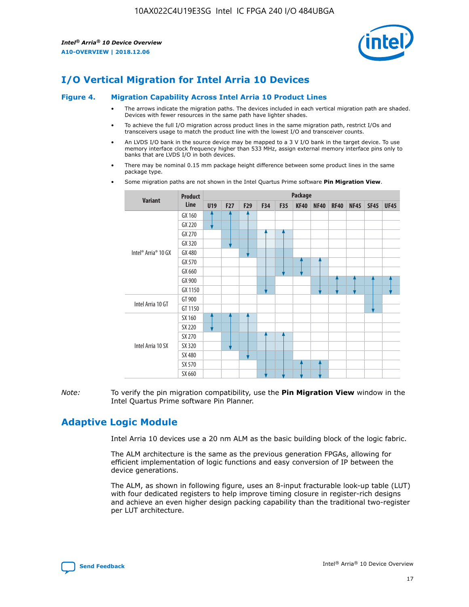

# **I/O Vertical Migration for Intel Arria 10 Devices**

#### **Figure 4. Migration Capability Across Intel Arria 10 Product Lines**

- The arrows indicate the migration paths. The devices included in each vertical migration path are shaded. Devices with fewer resources in the same path have lighter shades.
- To achieve the full I/O migration across product lines in the same migration path, restrict I/Os and transceivers usage to match the product line with the lowest I/O and transceiver counts.
- An LVDS I/O bank in the source device may be mapped to a 3 V I/O bank in the target device. To use memory interface clock frequency higher than 533 MHz, assign external memory interface pins only to banks that are LVDS I/O in both devices.
- There may be nominal 0.15 mm package height difference between some product lines in the same package type.
	- **Variant Product Line Package U19 F27 F29 F34 F35 KF40 NF40 RF40 NF45 SF45 UF45** Intel® Arria® 10 GX GX 160 GX 220 GX 270 GX 320 GX 480 GX 570 GX 660 GX 900 GX 1150 Intel Arria 10 GT GT 900 GT 1150 Intel Arria 10 SX SX 160 SX 220 SX 270 SX 320 SX 480 SX 570 SX 660
- Some migration paths are not shown in the Intel Quartus Prime software **Pin Migration View**.

*Note:* To verify the pin migration compatibility, use the **Pin Migration View** window in the Intel Quartus Prime software Pin Planner.

# **Adaptive Logic Module**

Intel Arria 10 devices use a 20 nm ALM as the basic building block of the logic fabric.

The ALM architecture is the same as the previous generation FPGAs, allowing for efficient implementation of logic functions and easy conversion of IP between the device generations.

The ALM, as shown in following figure, uses an 8-input fracturable look-up table (LUT) with four dedicated registers to help improve timing closure in register-rich designs and achieve an even higher design packing capability than the traditional two-register per LUT architecture.

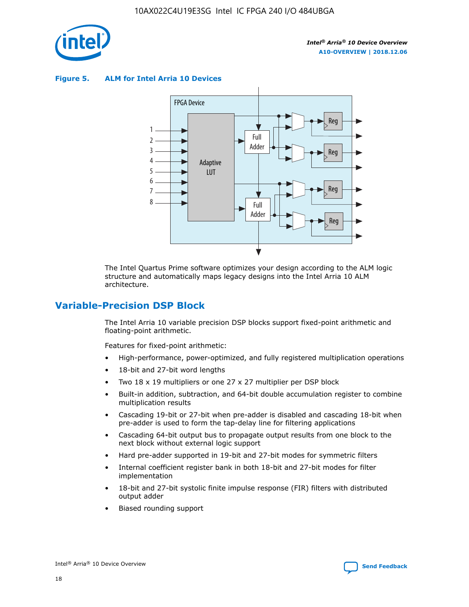

**Figure 5. ALM for Intel Arria 10 Devices**



The Intel Quartus Prime software optimizes your design according to the ALM logic structure and automatically maps legacy designs into the Intel Arria 10 ALM architecture.

# **Variable-Precision DSP Block**

The Intel Arria 10 variable precision DSP blocks support fixed-point arithmetic and floating-point arithmetic.

Features for fixed-point arithmetic:

- High-performance, power-optimized, and fully registered multiplication operations
- 18-bit and 27-bit word lengths
- Two 18 x 19 multipliers or one 27 x 27 multiplier per DSP block
- Built-in addition, subtraction, and 64-bit double accumulation register to combine multiplication results
- Cascading 19-bit or 27-bit when pre-adder is disabled and cascading 18-bit when pre-adder is used to form the tap-delay line for filtering applications
- Cascading 64-bit output bus to propagate output results from one block to the next block without external logic support
- Hard pre-adder supported in 19-bit and 27-bit modes for symmetric filters
- Internal coefficient register bank in both 18-bit and 27-bit modes for filter implementation
- 18-bit and 27-bit systolic finite impulse response (FIR) filters with distributed output adder
- Biased rounding support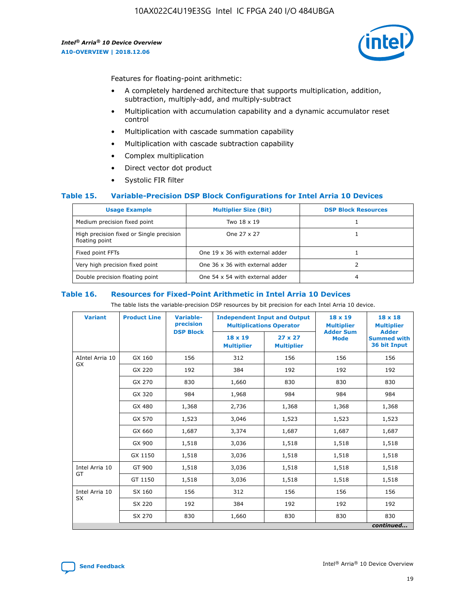

Features for floating-point arithmetic:

- A completely hardened architecture that supports multiplication, addition, subtraction, multiply-add, and multiply-subtract
- Multiplication with accumulation capability and a dynamic accumulator reset control
- Multiplication with cascade summation capability
- Multiplication with cascade subtraction capability
- Complex multiplication
- Direct vector dot product
- Systolic FIR filter

### **Table 15. Variable-Precision DSP Block Configurations for Intel Arria 10 Devices**

| <b>Usage Example</b>                                       | <b>Multiplier Size (Bit)</b>    | <b>DSP Block Resources</b> |
|------------------------------------------------------------|---------------------------------|----------------------------|
| Medium precision fixed point                               | Two 18 x 19                     |                            |
| High precision fixed or Single precision<br>floating point | One 27 x 27                     |                            |
| Fixed point FFTs                                           | One 19 x 36 with external adder |                            |
| Very high precision fixed point                            | One 36 x 36 with external adder |                            |
| Double precision floating point                            | One 54 x 54 with external adder | 4                          |

#### **Table 16. Resources for Fixed-Point Arithmetic in Intel Arria 10 Devices**

The table lists the variable-precision DSP resources by bit precision for each Intel Arria 10 device.

| <b>Variant</b>  | <b>Product Line</b> | Variable-<br>precision<br><b>DSP Block</b> | <b>Independent Input and Output</b><br><b>Multiplications Operator</b> |                                     | 18 x 19<br><b>Multiplier</b><br><b>Adder Sum</b> | $18 \times 18$<br><b>Multiplier</b><br><b>Adder</b> |
|-----------------|---------------------|--------------------------------------------|------------------------------------------------------------------------|-------------------------------------|--------------------------------------------------|-----------------------------------------------------|
|                 |                     |                                            | 18 x 19<br><b>Multiplier</b>                                           | $27 \times 27$<br><b>Multiplier</b> | <b>Mode</b>                                      | <b>Summed with</b><br>36 bit Input                  |
| AIntel Arria 10 | GX 160              | 156                                        | 312                                                                    | 156                                 | 156                                              | 156                                                 |
| GX              | GX 220              | 192                                        | 384                                                                    | 192                                 | 192                                              | 192                                                 |
|                 | GX 270              | 830                                        | 1,660                                                                  | 830                                 | 830                                              | 830                                                 |
|                 | GX 320              | 984                                        | 1,968                                                                  | 984                                 | 984                                              | 984                                                 |
|                 | GX 480              | 1,368                                      | 2,736                                                                  | 1,368                               | 1,368                                            | 1,368                                               |
|                 | GX 570              | 1,523                                      | 3,046                                                                  | 1,523                               | 1,523                                            | 1,523                                               |
|                 | GX 660              | 1,687                                      | 3,374                                                                  | 1,687                               | 1,687                                            | 1,687                                               |
|                 | GX 900              | 1,518                                      | 3,036                                                                  | 1,518                               | 1,518                                            | 1,518                                               |
|                 | GX 1150             | 1,518                                      | 3,036                                                                  | 1,518                               | 1,518                                            | 1,518                                               |
| Intel Arria 10  | GT 900              | 1,518                                      | 3,036                                                                  | 1,518                               | 1,518                                            | 1,518                                               |
| GT              | GT 1150             | 1,518                                      | 3,036                                                                  | 1,518                               | 1,518                                            | 1,518                                               |
| Intel Arria 10  | SX 160              | 156                                        | 312                                                                    | 156                                 | 156                                              | 156                                                 |
| <b>SX</b>       | SX 220              | 192                                        | 384                                                                    | 192                                 | 192                                              | 192                                                 |
|                 | SX 270              | 830                                        | 830<br>1,660                                                           |                                     | 830                                              | 830                                                 |
|                 |                     |                                            |                                                                        |                                     |                                                  | continued                                           |

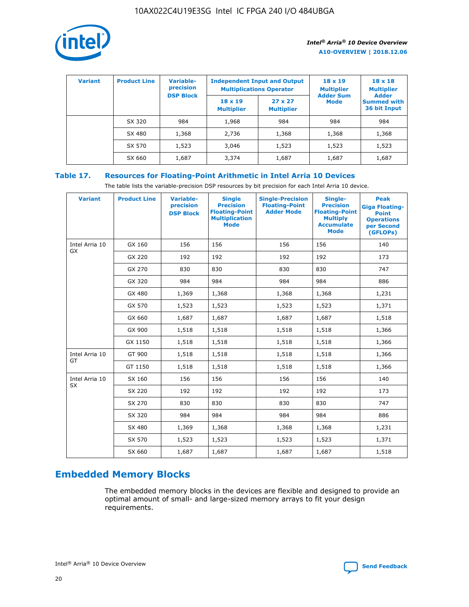

| <b>Variant</b> | <b>Product Line</b> | Variable-<br>precision | <b>Independent Input and Output</b><br><b>Multiplications Operator</b> |                                     | $18 \times 19$<br><b>Multiplier</b> | $18 \times 18$<br><b>Multiplier</b><br><b>Adder</b> |  |
|----------------|---------------------|------------------------|------------------------------------------------------------------------|-------------------------------------|-------------------------------------|-----------------------------------------------------|--|
|                |                     | <b>DSP Block</b>       | $18 \times 19$<br><b>Multiplier</b>                                    | $27 \times 27$<br><b>Multiplier</b> | <b>Adder Sum</b><br><b>Mode</b>     | <b>Summed with</b><br>36 bit Input                  |  |
|                | SX 320              | 984                    | 1,968                                                                  | 984                                 | 984                                 | 984                                                 |  |
|                | SX 480              | 1,368                  | 2,736                                                                  | 1,368                               | 1,368                               | 1,368                                               |  |
|                | SX 570              | 1,523                  | 3,046                                                                  | 1,523                               | 1,523                               | 1,523                                               |  |
|                | SX 660              | 1,687                  | 3,374                                                                  | 1,687                               | 1,687                               | 1,687                                               |  |

# **Table 17. Resources for Floating-Point Arithmetic in Intel Arria 10 Devices**

The table lists the variable-precision DSP resources by bit precision for each Intel Arria 10 device.

| <b>Variant</b> | <b>Product Line</b> | <b>Variable-</b><br>precision<br><b>DSP Block</b> | <b>Single</b><br><b>Precision</b><br><b>Floating-Point</b><br><b>Multiplication</b><br><b>Mode</b> | <b>Single-Precision</b><br><b>Floating-Point</b><br><b>Adder Mode</b> | Single-<br><b>Precision</b><br><b>Floating-Point</b><br><b>Multiply</b><br><b>Accumulate</b><br><b>Mode</b> | <b>Peak</b><br><b>Giga Floating-</b><br><b>Point</b><br><b>Operations</b><br>per Second<br>(GFLOPs) |
|----------------|---------------------|---------------------------------------------------|----------------------------------------------------------------------------------------------------|-----------------------------------------------------------------------|-------------------------------------------------------------------------------------------------------------|-----------------------------------------------------------------------------------------------------|
| Intel Arria 10 | GX 160              | 156                                               | 156                                                                                                | 156                                                                   | 156                                                                                                         | 140                                                                                                 |
| GX             | GX 220              | 192                                               | 192                                                                                                | 192                                                                   | 192                                                                                                         | 173                                                                                                 |
|                | GX 270              | 830                                               | 830                                                                                                | 830                                                                   | 830                                                                                                         | 747                                                                                                 |
|                | GX 320              | 984                                               | 984                                                                                                | 984                                                                   | 984                                                                                                         | 886                                                                                                 |
|                | GX 480              | 1,369                                             | 1,368                                                                                              | 1,368                                                                 | 1,368                                                                                                       | 1,231                                                                                               |
|                | GX 570              | 1,523                                             | 1,523                                                                                              | 1,523                                                                 | 1,523                                                                                                       | 1,371                                                                                               |
|                | GX 660              | 1,687                                             | 1,687                                                                                              | 1,687                                                                 | 1,687                                                                                                       | 1,518                                                                                               |
|                | GX 900              | 1,518                                             | 1,518                                                                                              | 1,518                                                                 | 1,518                                                                                                       | 1,366                                                                                               |
|                | GX 1150             | 1,518                                             | 1,518                                                                                              | 1,518                                                                 | 1,518                                                                                                       | 1,366                                                                                               |
| Intel Arria 10 | GT 900              | 1,518                                             | 1,518                                                                                              | 1,518                                                                 | 1,518                                                                                                       | 1,366                                                                                               |
| GT             | GT 1150             | 1,518                                             | 1,518                                                                                              | 1,518                                                                 | 1,518                                                                                                       | 1,366                                                                                               |
| Intel Arria 10 | SX 160              | 156                                               | 156                                                                                                | 156                                                                   | 156                                                                                                         | 140                                                                                                 |
| SX             | SX 220              | 192                                               | 192                                                                                                | 192                                                                   | 192                                                                                                         | 173                                                                                                 |
|                | SX 270              | 830                                               | 830                                                                                                | 830                                                                   | 830                                                                                                         | 747                                                                                                 |
|                | SX 320              | 984                                               | 984                                                                                                | 984                                                                   | 984                                                                                                         | 886                                                                                                 |
|                | SX 480              | 1,369                                             | 1,368                                                                                              | 1,368                                                                 | 1,368                                                                                                       | 1,231                                                                                               |
|                | SX 570              | 1,523                                             | 1,523                                                                                              | 1,523                                                                 | 1,523                                                                                                       | 1,371                                                                                               |
|                | SX 660              | 1,687                                             | 1,687                                                                                              | 1,687                                                                 | 1,687                                                                                                       | 1,518                                                                                               |

# **Embedded Memory Blocks**

The embedded memory blocks in the devices are flexible and designed to provide an optimal amount of small- and large-sized memory arrays to fit your design requirements.

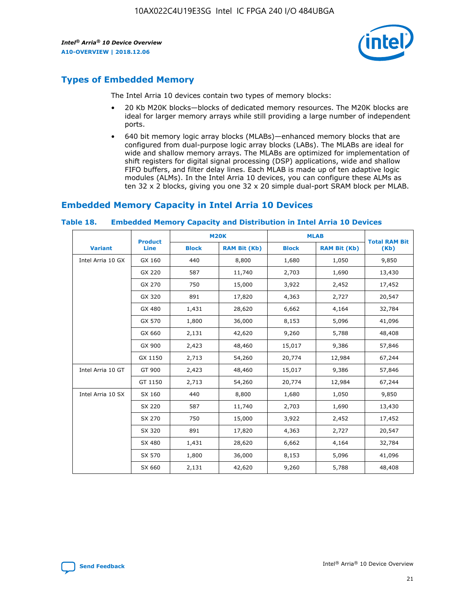

# **Types of Embedded Memory**

The Intel Arria 10 devices contain two types of memory blocks:

- 20 Kb M20K blocks—blocks of dedicated memory resources. The M20K blocks are ideal for larger memory arrays while still providing a large number of independent ports.
- 640 bit memory logic array blocks (MLABs)—enhanced memory blocks that are configured from dual-purpose logic array blocks (LABs). The MLABs are ideal for wide and shallow memory arrays. The MLABs are optimized for implementation of shift registers for digital signal processing (DSP) applications, wide and shallow FIFO buffers, and filter delay lines. Each MLAB is made up of ten adaptive logic modules (ALMs). In the Intel Arria 10 devices, you can configure these ALMs as ten 32 x 2 blocks, giving you one 32 x 20 simple dual-port SRAM block per MLAB.

# **Embedded Memory Capacity in Intel Arria 10 Devices**

|                   | <b>Product</b> |              | <b>M20K</b>         | <b>MLAB</b>  |                     | <b>Total RAM Bit</b> |
|-------------------|----------------|--------------|---------------------|--------------|---------------------|----------------------|
| <b>Variant</b>    | Line           | <b>Block</b> | <b>RAM Bit (Kb)</b> | <b>Block</b> | <b>RAM Bit (Kb)</b> | (Kb)                 |
| Intel Arria 10 GX | GX 160         | 440          | 8,800               | 1,680        | 1,050               | 9,850                |
|                   | GX 220         | 587          | 11,740              | 2,703        | 1,690               | 13,430               |
|                   | GX 270         | 750          | 15,000              | 3,922        | 2,452               | 17,452               |
|                   | GX 320         | 891          | 17,820              | 4,363        | 2,727               | 20,547               |
|                   | GX 480         | 1,431        | 28,620              | 6,662        | 4,164               | 32,784               |
|                   | GX 570         | 1,800        | 36,000              | 8,153        | 5,096               | 41,096               |
|                   | GX 660         | 2,131        | 42,620              | 9,260        | 5,788               | 48,408               |
|                   | GX 900         | 2,423        | 48,460              | 15,017       | 9,386               | 57,846               |
|                   | GX 1150        | 2,713        | 54,260              | 20,774       | 12,984              | 67,244               |
| Intel Arria 10 GT | GT 900         | 2,423        | 48,460              | 15,017       | 9,386               | 57,846               |
|                   | GT 1150        | 2,713        | 54,260              | 20,774       | 12,984              | 67,244               |
| Intel Arria 10 SX | SX 160         | 440          | 8,800               | 1,680        | 1,050               | 9,850                |
|                   | SX 220         | 587          | 11,740              | 2,703        | 1,690               | 13,430               |
|                   | SX 270         | 750          | 15,000              | 3,922        | 2,452               | 17,452               |
|                   | SX 320         | 891          | 17,820              | 4,363        | 2,727               | 20,547               |
|                   | SX 480         | 1,431        | 28,620              | 6,662        | 4,164               | 32,784               |
|                   | SX 570         | 1,800        | 36,000              | 8,153        | 5,096               | 41,096               |
|                   | SX 660         | 2,131        | 42,620              | 9,260        | 5,788               | 48,408               |

#### **Table 18. Embedded Memory Capacity and Distribution in Intel Arria 10 Devices**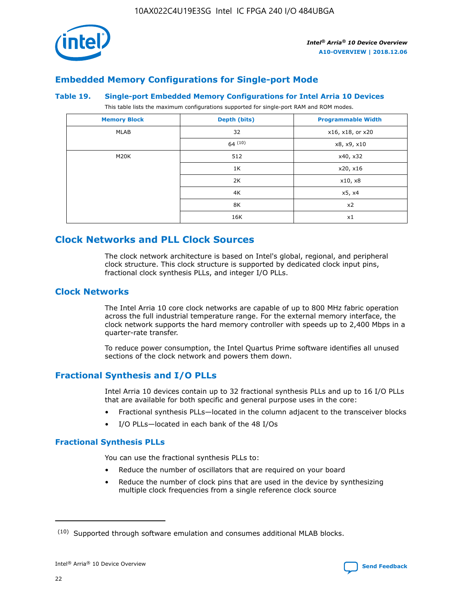

# **Embedded Memory Configurations for Single-port Mode**

### **Table 19. Single-port Embedded Memory Configurations for Intel Arria 10 Devices**

This table lists the maximum configurations supported for single-port RAM and ROM modes.

| <b>Memory Block</b> | Depth (bits) | <b>Programmable Width</b> |
|---------------------|--------------|---------------------------|
| MLAB                | 32           | x16, x18, or x20          |
|                     | 64(10)       | x8, x9, x10               |
| M20K                | 512          | x40, x32                  |
|                     | 1K           | x20, x16                  |
|                     | 2K           | x10, x8                   |
|                     | 4K           | x5, x4                    |
|                     | 8K           | x2                        |
|                     | 16K          | x1                        |

# **Clock Networks and PLL Clock Sources**

The clock network architecture is based on Intel's global, regional, and peripheral clock structure. This clock structure is supported by dedicated clock input pins, fractional clock synthesis PLLs, and integer I/O PLLs.

# **Clock Networks**

The Intel Arria 10 core clock networks are capable of up to 800 MHz fabric operation across the full industrial temperature range. For the external memory interface, the clock network supports the hard memory controller with speeds up to 2,400 Mbps in a quarter-rate transfer.

To reduce power consumption, the Intel Quartus Prime software identifies all unused sections of the clock network and powers them down.

# **Fractional Synthesis and I/O PLLs**

Intel Arria 10 devices contain up to 32 fractional synthesis PLLs and up to 16 I/O PLLs that are available for both specific and general purpose uses in the core:

- Fractional synthesis PLLs—located in the column adjacent to the transceiver blocks
- I/O PLLs—located in each bank of the 48 I/Os

### **Fractional Synthesis PLLs**

You can use the fractional synthesis PLLs to:

- Reduce the number of oscillators that are required on your board
- Reduce the number of clock pins that are used in the device by synthesizing multiple clock frequencies from a single reference clock source

<sup>(10)</sup> Supported through software emulation and consumes additional MLAB blocks.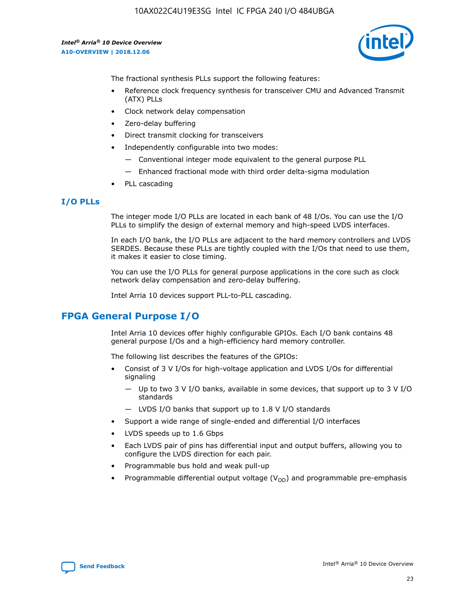

The fractional synthesis PLLs support the following features:

- Reference clock frequency synthesis for transceiver CMU and Advanced Transmit (ATX) PLLs
- Clock network delay compensation
- Zero-delay buffering
- Direct transmit clocking for transceivers
- Independently configurable into two modes:
	- Conventional integer mode equivalent to the general purpose PLL
	- Enhanced fractional mode with third order delta-sigma modulation
- PLL cascading

# **I/O PLLs**

The integer mode I/O PLLs are located in each bank of 48 I/Os. You can use the I/O PLLs to simplify the design of external memory and high-speed LVDS interfaces.

In each I/O bank, the I/O PLLs are adjacent to the hard memory controllers and LVDS SERDES. Because these PLLs are tightly coupled with the I/Os that need to use them, it makes it easier to close timing.

You can use the I/O PLLs for general purpose applications in the core such as clock network delay compensation and zero-delay buffering.

Intel Arria 10 devices support PLL-to-PLL cascading.

# **FPGA General Purpose I/O**

Intel Arria 10 devices offer highly configurable GPIOs. Each I/O bank contains 48 general purpose I/Os and a high-efficiency hard memory controller.

The following list describes the features of the GPIOs:

- Consist of 3 V I/Os for high-voltage application and LVDS I/Os for differential signaling
	- Up to two 3 V I/O banks, available in some devices, that support up to 3 V I/O standards
	- LVDS I/O banks that support up to 1.8 V I/O standards
- Support a wide range of single-ended and differential I/O interfaces
- LVDS speeds up to 1.6 Gbps
- Each LVDS pair of pins has differential input and output buffers, allowing you to configure the LVDS direction for each pair.
- Programmable bus hold and weak pull-up
- Programmable differential output voltage  $(V_{OD})$  and programmable pre-emphasis

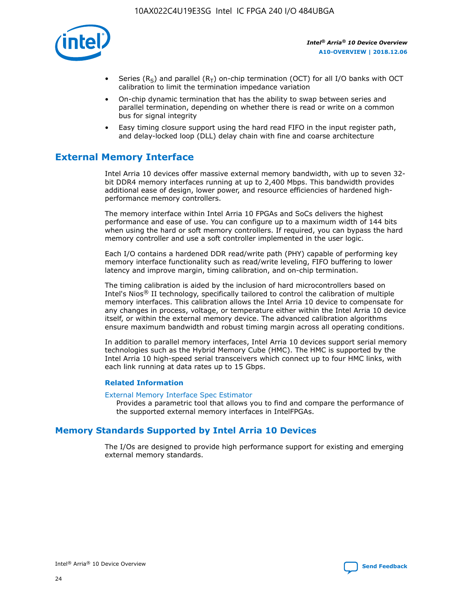

- Series (R<sub>S</sub>) and parallel (R<sub>T</sub>) on-chip termination (OCT) for all I/O banks with OCT calibration to limit the termination impedance variation
- On-chip dynamic termination that has the ability to swap between series and parallel termination, depending on whether there is read or write on a common bus for signal integrity
- Easy timing closure support using the hard read FIFO in the input register path, and delay-locked loop (DLL) delay chain with fine and coarse architecture

# **External Memory Interface**

Intel Arria 10 devices offer massive external memory bandwidth, with up to seven 32 bit DDR4 memory interfaces running at up to 2,400 Mbps. This bandwidth provides additional ease of design, lower power, and resource efficiencies of hardened highperformance memory controllers.

The memory interface within Intel Arria 10 FPGAs and SoCs delivers the highest performance and ease of use. You can configure up to a maximum width of 144 bits when using the hard or soft memory controllers. If required, you can bypass the hard memory controller and use a soft controller implemented in the user logic.

Each I/O contains a hardened DDR read/write path (PHY) capable of performing key memory interface functionality such as read/write leveling, FIFO buffering to lower latency and improve margin, timing calibration, and on-chip termination.

The timing calibration is aided by the inclusion of hard microcontrollers based on Intel's Nios® II technology, specifically tailored to control the calibration of multiple memory interfaces. This calibration allows the Intel Arria 10 device to compensate for any changes in process, voltage, or temperature either within the Intel Arria 10 device itself, or within the external memory device. The advanced calibration algorithms ensure maximum bandwidth and robust timing margin across all operating conditions.

In addition to parallel memory interfaces, Intel Arria 10 devices support serial memory technologies such as the Hybrid Memory Cube (HMC). The HMC is supported by the Intel Arria 10 high-speed serial transceivers which connect up to four HMC links, with each link running at data rates up to 15 Gbps.

### **Related Information**

#### [External Memory Interface Spec Estimator](http://www.altera.com/technology/memory/estimator/mem-emif-index.html)

Provides a parametric tool that allows you to find and compare the performance of the supported external memory interfaces in IntelFPGAs.

# **Memory Standards Supported by Intel Arria 10 Devices**

The I/Os are designed to provide high performance support for existing and emerging external memory standards.

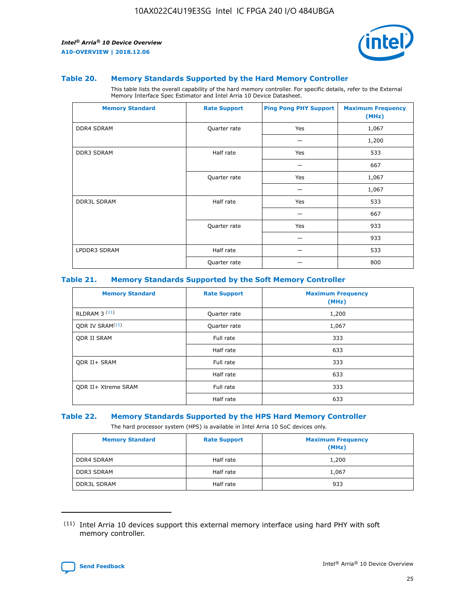

### **Table 20. Memory Standards Supported by the Hard Memory Controller**

This table lists the overall capability of the hard memory controller. For specific details, refer to the External Memory Interface Spec Estimator and Intel Arria 10 Device Datasheet.

| <b>Memory Standard</b> | <b>Rate Support</b> | <b>Ping Pong PHY Support</b> | <b>Maximum Frequency</b><br>(MHz) |
|------------------------|---------------------|------------------------------|-----------------------------------|
| <b>DDR4 SDRAM</b>      | Quarter rate        | Yes                          | 1,067                             |
|                        |                     |                              | 1,200                             |
| DDR3 SDRAM             | Half rate           | Yes                          | 533                               |
|                        |                     |                              | 667                               |
|                        | Quarter rate        | Yes                          | 1,067                             |
|                        |                     |                              | 1,067                             |
| <b>DDR3L SDRAM</b>     | Half rate           | Yes                          | 533                               |
|                        |                     |                              | 667                               |
|                        | Quarter rate        | Yes                          | 933                               |
|                        |                     |                              | 933                               |
| LPDDR3 SDRAM           | Half rate           |                              | 533                               |
|                        | Quarter rate        |                              | 800                               |

### **Table 21. Memory Standards Supported by the Soft Memory Controller**

| <b>Memory Standard</b>      | <b>Rate Support</b> | <b>Maximum Frequency</b><br>(MHz) |
|-----------------------------|---------------------|-----------------------------------|
| <b>RLDRAM 3 (11)</b>        | Quarter rate        | 1,200                             |
| ODR IV SRAM <sup>(11)</sup> | Quarter rate        | 1,067                             |
| <b>ODR II SRAM</b>          | Full rate           | 333                               |
|                             | Half rate           | 633                               |
| <b>ODR II+ SRAM</b>         | Full rate           | 333                               |
|                             | Half rate           | 633                               |
| <b>ODR II+ Xtreme SRAM</b>  | Full rate           | 333                               |
|                             | Half rate           | 633                               |

### **Table 22. Memory Standards Supported by the HPS Hard Memory Controller**

The hard processor system (HPS) is available in Intel Arria 10 SoC devices only.

| <b>Memory Standard</b> | <b>Rate Support</b> | <b>Maximum Frequency</b><br>(MHz) |
|------------------------|---------------------|-----------------------------------|
| <b>DDR4 SDRAM</b>      | Half rate           | 1,200                             |
| <b>DDR3 SDRAM</b>      | Half rate           | 1,067                             |
| <b>DDR3L SDRAM</b>     | Half rate           | 933                               |

<sup>(11)</sup> Intel Arria 10 devices support this external memory interface using hard PHY with soft memory controller.

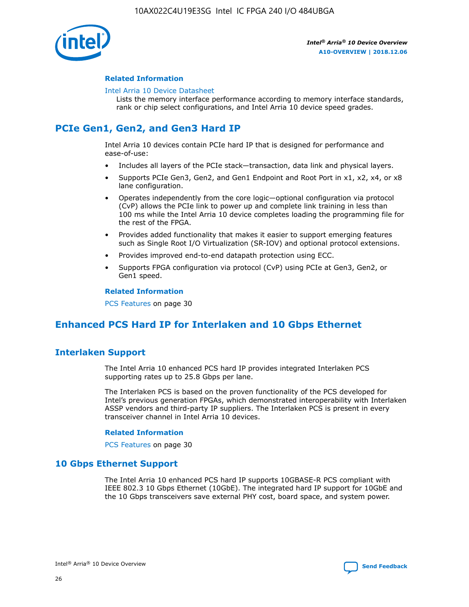

## **Related Information**

#### [Intel Arria 10 Device Datasheet](https://www.intel.com/content/www/us/en/programmable/documentation/mcn1413182292568.html#mcn1413182153340)

Lists the memory interface performance according to memory interface standards, rank or chip select configurations, and Intel Arria 10 device speed grades.

# **PCIe Gen1, Gen2, and Gen3 Hard IP**

Intel Arria 10 devices contain PCIe hard IP that is designed for performance and ease-of-use:

- Includes all layers of the PCIe stack—transaction, data link and physical layers.
- Supports PCIe Gen3, Gen2, and Gen1 Endpoint and Root Port in x1, x2, x4, or x8 lane configuration.
- Operates independently from the core logic—optional configuration via protocol (CvP) allows the PCIe link to power up and complete link training in less than 100 ms while the Intel Arria 10 device completes loading the programming file for the rest of the FPGA.
- Provides added functionality that makes it easier to support emerging features such as Single Root I/O Virtualization (SR-IOV) and optional protocol extensions.
- Provides improved end-to-end datapath protection using ECC.
- Supports FPGA configuration via protocol (CvP) using PCIe at Gen3, Gen2, or Gen1 speed.

#### **Related Information**

PCS Features on page 30

# **Enhanced PCS Hard IP for Interlaken and 10 Gbps Ethernet**

# **Interlaken Support**

The Intel Arria 10 enhanced PCS hard IP provides integrated Interlaken PCS supporting rates up to 25.8 Gbps per lane.

The Interlaken PCS is based on the proven functionality of the PCS developed for Intel's previous generation FPGAs, which demonstrated interoperability with Interlaken ASSP vendors and third-party IP suppliers. The Interlaken PCS is present in every transceiver channel in Intel Arria 10 devices.

### **Related Information**

PCS Features on page 30

# **10 Gbps Ethernet Support**

The Intel Arria 10 enhanced PCS hard IP supports 10GBASE-R PCS compliant with IEEE 802.3 10 Gbps Ethernet (10GbE). The integrated hard IP support for 10GbE and the 10 Gbps transceivers save external PHY cost, board space, and system power.

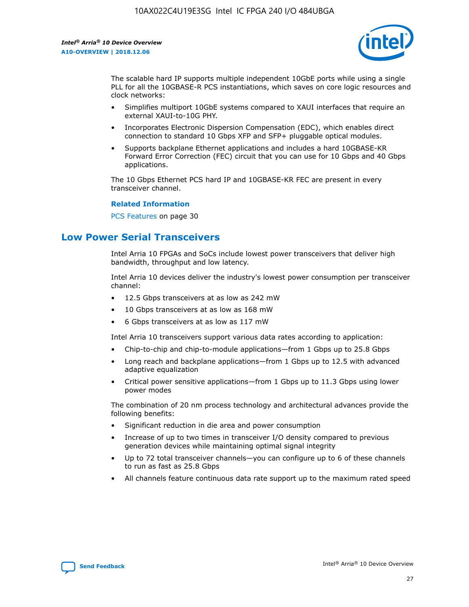

The scalable hard IP supports multiple independent 10GbE ports while using a single PLL for all the 10GBASE-R PCS instantiations, which saves on core logic resources and clock networks:

- Simplifies multiport 10GbE systems compared to XAUI interfaces that require an external XAUI-to-10G PHY.
- Incorporates Electronic Dispersion Compensation (EDC), which enables direct connection to standard 10 Gbps XFP and SFP+ pluggable optical modules.
- Supports backplane Ethernet applications and includes a hard 10GBASE-KR Forward Error Correction (FEC) circuit that you can use for 10 Gbps and 40 Gbps applications.

The 10 Gbps Ethernet PCS hard IP and 10GBASE-KR FEC are present in every transceiver channel.

#### **Related Information**

PCS Features on page 30

# **Low Power Serial Transceivers**

Intel Arria 10 FPGAs and SoCs include lowest power transceivers that deliver high bandwidth, throughput and low latency.

Intel Arria 10 devices deliver the industry's lowest power consumption per transceiver channel:

- 12.5 Gbps transceivers at as low as 242 mW
- 10 Gbps transceivers at as low as 168 mW
- 6 Gbps transceivers at as low as 117 mW

Intel Arria 10 transceivers support various data rates according to application:

- Chip-to-chip and chip-to-module applications—from 1 Gbps up to 25.8 Gbps
- Long reach and backplane applications—from 1 Gbps up to 12.5 with advanced adaptive equalization
- Critical power sensitive applications—from 1 Gbps up to 11.3 Gbps using lower power modes

The combination of 20 nm process technology and architectural advances provide the following benefits:

- Significant reduction in die area and power consumption
- Increase of up to two times in transceiver I/O density compared to previous generation devices while maintaining optimal signal integrity
- Up to 72 total transceiver channels—you can configure up to 6 of these channels to run as fast as 25.8 Gbps
- All channels feature continuous data rate support up to the maximum rated speed

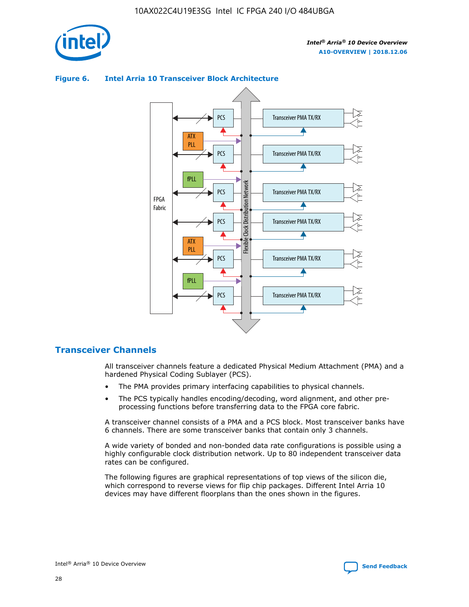

## Transceiver PMA TX/RX PCS ATX PLL Transceiver PMA TX/RX PCS fPLL Network Flexible Clock Distribution Network PCS Transceiver PMA TX/RX FPGA **Clock Distribution** Fabric PCS Transceiver PMA TX/RX ATX Flexible PLL PCS Transceiver PMA TX/RX ▲ fPLL Transceiver PMA TX/RX PCS 4

## **Figure 6. Intel Arria 10 Transceiver Block Architecture**

# **Transceiver Channels**

All transceiver channels feature a dedicated Physical Medium Attachment (PMA) and a hardened Physical Coding Sublayer (PCS).

- The PMA provides primary interfacing capabilities to physical channels.
- The PCS typically handles encoding/decoding, word alignment, and other preprocessing functions before transferring data to the FPGA core fabric.

A transceiver channel consists of a PMA and a PCS block. Most transceiver banks have 6 channels. There are some transceiver banks that contain only 3 channels.

A wide variety of bonded and non-bonded data rate configurations is possible using a highly configurable clock distribution network. Up to 80 independent transceiver data rates can be configured.

The following figures are graphical representations of top views of the silicon die, which correspond to reverse views for flip chip packages. Different Intel Arria 10 devices may have different floorplans than the ones shown in the figures.

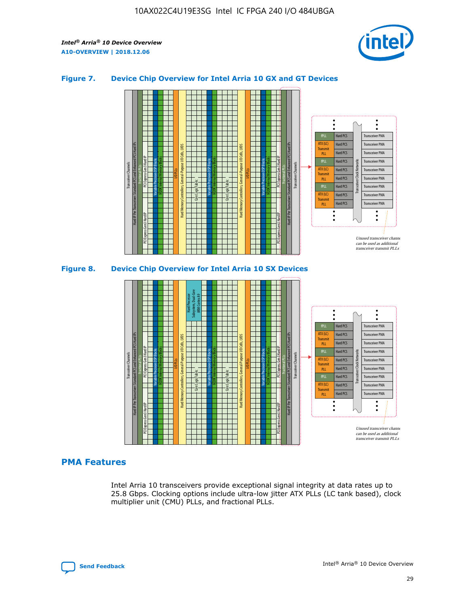

## **Figure 7. Device Chip Overview for Intel Arria 10 GX and GT Devices**





# **PMA Features**

Intel Arria 10 transceivers provide exceptional signal integrity at data rates up to 25.8 Gbps. Clocking options include ultra-low jitter ATX PLLs (LC tank based), clock multiplier unit (CMU) PLLs, and fractional PLLs.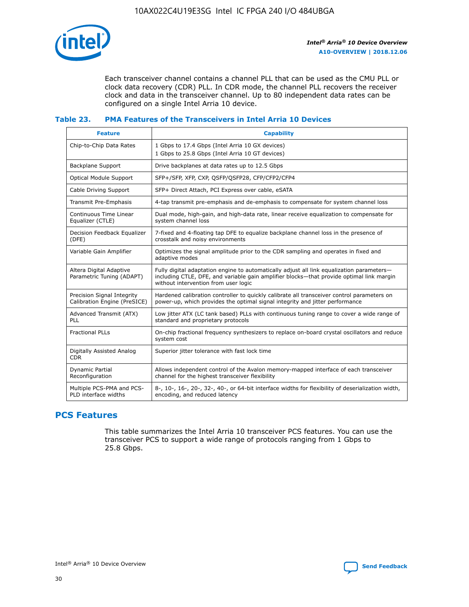

Each transceiver channel contains a channel PLL that can be used as the CMU PLL or clock data recovery (CDR) PLL. In CDR mode, the channel PLL recovers the receiver clock and data in the transceiver channel. Up to 80 independent data rates can be configured on a single Intel Arria 10 device.

## **Table 23. PMA Features of the Transceivers in Intel Arria 10 Devices**

| <b>Feature</b>                                             | <b>Capability</b>                                                                                                                                                                                                             |
|------------------------------------------------------------|-------------------------------------------------------------------------------------------------------------------------------------------------------------------------------------------------------------------------------|
| Chip-to-Chip Data Rates                                    | 1 Gbps to 17.4 Gbps (Intel Arria 10 GX devices)<br>1 Gbps to 25.8 Gbps (Intel Arria 10 GT devices)                                                                                                                            |
| Backplane Support                                          | Drive backplanes at data rates up to 12.5 Gbps                                                                                                                                                                                |
| <b>Optical Module Support</b>                              | SFP+/SFP, XFP, CXP, QSFP/QSFP28, CFP/CFP2/CFP4                                                                                                                                                                                |
| Cable Driving Support                                      | SFP+ Direct Attach, PCI Express over cable, eSATA                                                                                                                                                                             |
| Transmit Pre-Emphasis                                      | 4-tap transmit pre-emphasis and de-emphasis to compensate for system channel loss                                                                                                                                             |
| Continuous Time Linear<br>Equalizer (CTLE)                 | Dual mode, high-gain, and high-data rate, linear receive equalization to compensate for<br>system channel loss                                                                                                                |
| Decision Feedback Equalizer<br>(DFE)                       | 7-fixed and 4-floating tap DFE to equalize backplane channel loss in the presence of<br>crosstalk and noisy environments                                                                                                      |
| Variable Gain Amplifier                                    | Optimizes the signal amplitude prior to the CDR sampling and operates in fixed and<br>adaptive modes                                                                                                                          |
| Altera Digital Adaptive<br>Parametric Tuning (ADAPT)       | Fully digital adaptation engine to automatically adjust all link equalization parameters-<br>including CTLE, DFE, and variable gain amplifier blocks—that provide optimal link margin<br>without intervention from user logic |
| Precision Signal Integrity<br>Calibration Engine (PreSICE) | Hardened calibration controller to quickly calibrate all transceiver control parameters on<br>power-up, which provides the optimal signal integrity and jitter performance                                                    |
| Advanced Transmit (ATX)<br>PLL                             | Low jitter ATX (LC tank based) PLLs with continuous tuning range to cover a wide range of<br>standard and proprietary protocols                                                                                               |
| <b>Fractional PLLs</b>                                     | On-chip fractional frequency synthesizers to replace on-board crystal oscillators and reduce<br>system cost                                                                                                                   |
| Digitally Assisted Analog<br><b>CDR</b>                    | Superior jitter tolerance with fast lock time                                                                                                                                                                                 |
| <b>Dynamic Partial</b><br>Reconfiguration                  | Allows independent control of the Avalon memory-mapped interface of each transceiver<br>channel for the highest transceiver flexibility                                                                                       |
| Multiple PCS-PMA and PCS-<br>PLD interface widths          | 8-, 10-, 16-, 20-, 32-, 40-, or 64-bit interface widths for flexibility of deserialization width,<br>encoding, and reduced latency                                                                                            |

# **PCS Features**

This table summarizes the Intel Arria 10 transceiver PCS features. You can use the transceiver PCS to support a wide range of protocols ranging from 1 Gbps to 25.8 Gbps.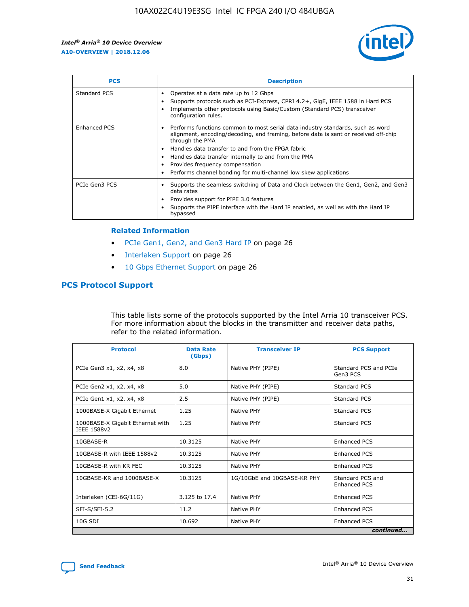

| <b>PCS</b>          | <b>Description</b>                                                                                                                                                                                                                                                                                                                                                                                             |
|---------------------|----------------------------------------------------------------------------------------------------------------------------------------------------------------------------------------------------------------------------------------------------------------------------------------------------------------------------------------------------------------------------------------------------------------|
| Standard PCS        | Operates at a data rate up to 12 Gbps<br>Supports protocols such as PCI-Express, CPRI 4.2+, GigE, IEEE 1588 in Hard PCS<br>Implements other protocols using Basic/Custom (Standard PCS) transceiver<br>configuration rules.                                                                                                                                                                                    |
| <b>Enhanced PCS</b> | Performs functions common to most serial data industry standards, such as word<br>alignment, encoding/decoding, and framing, before data is sent or received off-chip<br>through the PMA<br>• Handles data transfer to and from the FPGA fabric<br>Handles data transfer internally to and from the PMA<br>Provides frequency compensation<br>Performs channel bonding for multi-channel low skew applications |
| PCIe Gen3 PCS       | Supports the seamless switching of Data and Clock between the Gen1, Gen2, and Gen3<br>data rates<br>Provides support for PIPE 3.0 features<br>Supports the PIPE interface with the Hard IP enabled, as well as with the Hard IP<br>bypassed                                                                                                                                                                    |

#### **Related Information**

- PCIe Gen1, Gen2, and Gen3 Hard IP on page 26
- Interlaken Support on page 26
- 10 Gbps Ethernet Support on page 26

# **PCS Protocol Support**

This table lists some of the protocols supported by the Intel Arria 10 transceiver PCS. For more information about the blocks in the transmitter and receiver data paths, refer to the related information.

| <b>Protocol</b>                                 | <b>Data Rate</b><br>(Gbps) | <b>Transceiver IP</b>       | <b>PCS Support</b>                      |
|-------------------------------------------------|----------------------------|-----------------------------|-----------------------------------------|
| PCIe Gen3 x1, x2, x4, x8                        | 8.0                        | Native PHY (PIPE)           | Standard PCS and PCIe<br>Gen3 PCS       |
| PCIe Gen2 x1, x2, x4, x8                        | 5.0                        | Native PHY (PIPE)           | <b>Standard PCS</b>                     |
| PCIe Gen1 x1, x2, x4, x8                        | 2.5                        | Native PHY (PIPE)           | Standard PCS                            |
| 1000BASE-X Gigabit Ethernet                     | 1.25                       | Native PHY                  | <b>Standard PCS</b>                     |
| 1000BASE-X Gigabit Ethernet with<br>IEEE 1588v2 | 1.25                       | Native PHY                  | Standard PCS                            |
| 10GBASE-R                                       | 10.3125                    | Native PHY                  | <b>Enhanced PCS</b>                     |
| 10GBASE-R with IEEE 1588v2                      | 10.3125                    | Native PHY                  | <b>Enhanced PCS</b>                     |
| 10GBASE-R with KR FEC                           | 10.3125                    | Native PHY                  | <b>Enhanced PCS</b>                     |
| 10GBASE-KR and 1000BASE-X                       | 10.3125                    | 1G/10GbE and 10GBASE-KR PHY | Standard PCS and<br><b>Enhanced PCS</b> |
| Interlaken (CEI-6G/11G)                         | 3.125 to 17.4              | Native PHY                  | <b>Enhanced PCS</b>                     |
| SFI-S/SFI-5.2                                   | 11.2                       | Native PHY                  | <b>Enhanced PCS</b>                     |
| $10G$ SDI                                       | 10.692                     | Native PHY                  | <b>Enhanced PCS</b>                     |
|                                                 |                            |                             | continued                               |

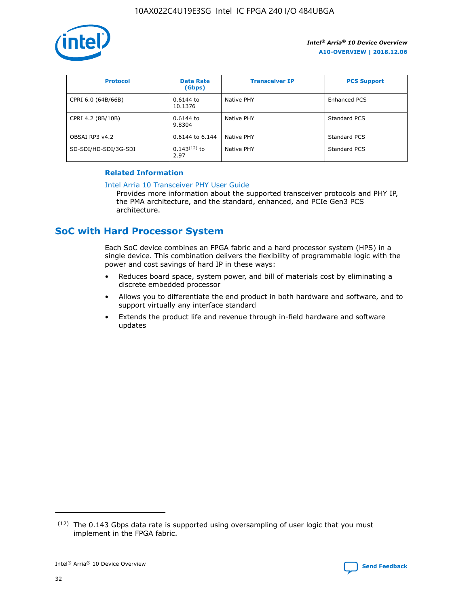

| <b>Protocol</b>      | <b>Data Rate</b><br>(Gbps) | <b>Transceiver IP</b> | <b>PCS Support</b> |
|----------------------|----------------------------|-----------------------|--------------------|
| CPRI 6.0 (64B/66B)   | 0.6144 to<br>10.1376       | Native PHY            | Enhanced PCS       |
| CPRI 4.2 (8B/10B)    | $0.6144$ to<br>9.8304      | Native PHY            | Standard PCS       |
| OBSAI RP3 v4.2       | 0.6144 to 6.144            | Native PHY            | Standard PCS       |
| SD-SDI/HD-SDI/3G-SDI | $0.143(12)$ to<br>2.97     | Native PHY            | Standard PCS       |

# **Related Information**

#### [Intel Arria 10 Transceiver PHY User Guide](https://www.intel.com/content/www/us/en/programmable/documentation/nik1398707230472.html#nik1398707091164)

Provides more information about the supported transceiver protocols and PHY IP, the PMA architecture, and the standard, enhanced, and PCIe Gen3 PCS architecture.

# **SoC with Hard Processor System**

Each SoC device combines an FPGA fabric and a hard processor system (HPS) in a single device. This combination delivers the flexibility of programmable logic with the power and cost savings of hard IP in these ways:

- Reduces board space, system power, and bill of materials cost by eliminating a discrete embedded processor
- Allows you to differentiate the end product in both hardware and software, and to support virtually any interface standard
- Extends the product life and revenue through in-field hardware and software updates

 $(12)$  The 0.143 Gbps data rate is supported using oversampling of user logic that you must implement in the FPGA fabric.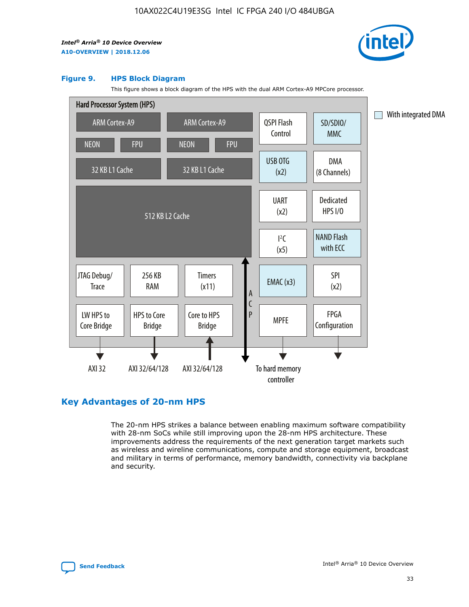

#### **Figure 9. HPS Block Diagram**

This figure shows a block diagram of the HPS with the dual ARM Cortex-A9 MPCore processor.



# **Key Advantages of 20-nm HPS**

The 20-nm HPS strikes a balance between enabling maximum software compatibility with 28-nm SoCs while still improving upon the 28-nm HPS architecture. These improvements address the requirements of the next generation target markets such as wireless and wireline communications, compute and storage equipment, broadcast and military in terms of performance, memory bandwidth, connectivity via backplane and security.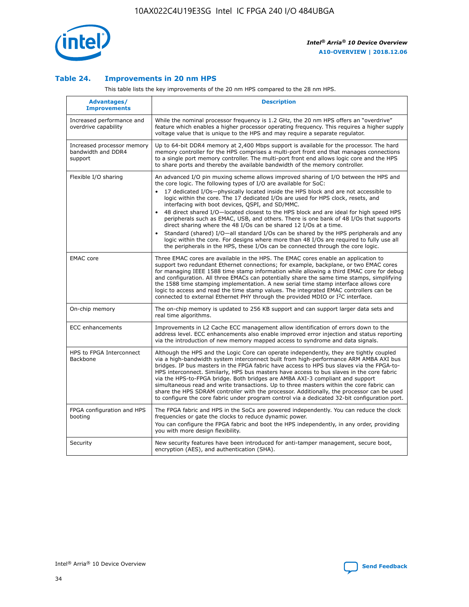

## **Table 24. Improvements in 20 nm HPS**

This table lists the key improvements of the 20 nm HPS compared to the 28 nm HPS.

| Advantages/<br><b>Improvements</b>                          | <b>Description</b>                                                                                                                                                                                                                                                                                                                                                                                                                                                                                                                                                                                                                                                                                                                                                                                                                                                                                                                                |
|-------------------------------------------------------------|---------------------------------------------------------------------------------------------------------------------------------------------------------------------------------------------------------------------------------------------------------------------------------------------------------------------------------------------------------------------------------------------------------------------------------------------------------------------------------------------------------------------------------------------------------------------------------------------------------------------------------------------------------------------------------------------------------------------------------------------------------------------------------------------------------------------------------------------------------------------------------------------------------------------------------------------------|
| Increased performance and<br>overdrive capability           | While the nominal processor frequency is 1.2 GHz, the 20 nm HPS offers an "overdrive"<br>feature which enables a higher processor operating frequency. This requires a higher supply<br>voltage value that is unique to the HPS and may require a separate regulator.                                                                                                                                                                                                                                                                                                                                                                                                                                                                                                                                                                                                                                                                             |
| Increased processor memory<br>bandwidth and DDR4<br>support | Up to 64-bit DDR4 memory at 2,400 Mbps support is available for the processor. The hard<br>memory controller for the HPS comprises a multi-port front end that manages connections<br>to a single port memory controller. The multi-port front end allows logic core and the HPS<br>to share ports and thereby the available bandwidth of the memory controller.                                                                                                                                                                                                                                                                                                                                                                                                                                                                                                                                                                                  |
| Flexible I/O sharing                                        | An advanced I/O pin muxing scheme allows improved sharing of I/O between the HPS and<br>the core logic. The following types of I/O are available for SoC:<br>$\bullet$<br>17 dedicated I/Os-physically located inside the HPS block and are not accessible to<br>logic within the core. The 17 dedicated I/Os are used for HPS clock, resets, and<br>interfacing with boot devices, QSPI, and SD/MMC.<br>48 direct shared I/O-located closest to the HPS block and are ideal for high speed HPS<br>$\bullet$<br>peripherals such as EMAC, USB, and others. There is one bank of 48 I/Os that supports<br>direct sharing where the 48 I/Os can be shared 12 I/Os at a time.<br>Standard (shared) I/O-all standard I/Os can be shared by the HPS peripherals and any<br>logic within the core. For designs where more than 48 I/Os are required to fully use all<br>the peripherals in the HPS, these I/Os can be connected through the core logic. |
| <b>EMAC</b> core                                            | Three EMAC cores are available in the HPS. The EMAC cores enable an application to<br>support two redundant Ethernet connections; for example, backplane, or two EMAC cores<br>for managing IEEE 1588 time stamp information while allowing a third EMAC core for debug<br>and configuration. All three EMACs can potentially share the same time stamps, simplifying<br>the 1588 time stamping implementation. A new serial time stamp interface allows core<br>logic to access and read the time stamp values. The integrated EMAC controllers can be<br>connected to external Ethernet PHY through the provided MDIO or I <sup>2</sup> C interface.                                                                                                                                                                                                                                                                                            |
| On-chip memory                                              | The on-chip memory is updated to 256 KB support and can support larger data sets and<br>real time algorithms.                                                                                                                                                                                                                                                                                                                                                                                                                                                                                                                                                                                                                                                                                                                                                                                                                                     |
| <b>ECC</b> enhancements                                     | Improvements in L2 Cache ECC management allow identification of errors down to the<br>address level. ECC enhancements also enable improved error injection and status reporting<br>via the introduction of new memory mapped access to syndrome and data signals.                                                                                                                                                                                                                                                                                                                                                                                                                                                                                                                                                                                                                                                                                 |
| HPS to FPGA Interconnect<br>Backbone                        | Although the HPS and the Logic Core can operate independently, they are tightly coupled<br>via a high-bandwidth system interconnect built from high-performance ARM AMBA AXI bus<br>bridges. IP bus masters in the FPGA fabric have access to HPS bus slaves via the FPGA-to-<br>HPS interconnect. Similarly, HPS bus masters have access to bus slaves in the core fabric<br>via the HPS-to-FPGA bridge. Both bridges are AMBA AXI-3 compliant and support<br>simultaneous read and write transactions. Up to three masters within the core fabric can<br>share the HPS SDRAM controller with the processor. Additionally, the processor can be used<br>to configure the core fabric under program control via a dedicated 32-bit configuration port.                                                                                                                                                                                            |
| FPGA configuration and HPS<br>booting                       | The FPGA fabric and HPS in the SoCs are powered independently. You can reduce the clock<br>frequencies or gate the clocks to reduce dynamic power.<br>You can configure the FPGA fabric and boot the HPS independently, in any order, providing<br>you with more design flexibility.                                                                                                                                                                                                                                                                                                                                                                                                                                                                                                                                                                                                                                                              |
| Security                                                    | New security features have been introduced for anti-tamper management, secure boot,<br>encryption (AES), and authentication (SHA).                                                                                                                                                                                                                                                                                                                                                                                                                                                                                                                                                                                                                                                                                                                                                                                                                |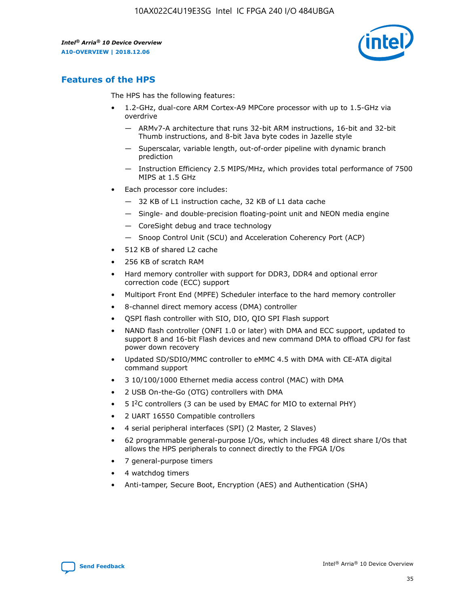

# **Features of the HPS**

The HPS has the following features:

- 1.2-GHz, dual-core ARM Cortex-A9 MPCore processor with up to 1.5-GHz via overdrive
	- ARMv7-A architecture that runs 32-bit ARM instructions, 16-bit and 32-bit Thumb instructions, and 8-bit Java byte codes in Jazelle style
	- Superscalar, variable length, out-of-order pipeline with dynamic branch prediction
	- Instruction Efficiency 2.5 MIPS/MHz, which provides total performance of 7500 MIPS at 1.5 GHz
- Each processor core includes:
	- 32 KB of L1 instruction cache, 32 KB of L1 data cache
	- Single- and double-precision floating-point unit and NEON media engine
	- CoreSight debug and trace technology
	- Snoop Control Unit (SCU) and Acceleration Coherency Port (ACP)
- 512 KB of shared L2 cache
- 256 KB of scratch RAM
- Hard memory controller with support for DDR3, DDR4 and optional error correction code (ECC) support
- Multiport Front End (MPFE) Scheduler interface to the hard memory controller
- 8-channel direct memory access (DMA) controller
- QSPI flash controller with SIO, DIO, QIO SPI Flash support
- NAND flash controller (ONFI 1.0 or later) with DMA and ECC support, updated to support 8 and 16-bit Flash devices and new command DMA to offload CPU for fast power down recovery
- Updated SD/SDIO/MMC controller to eMMC 4.5 with DMA with CE-ATA digital command support
- 3 10/100/1000 Ethernet media access control (MAC) with DMA
- 2 USB On-the-Go (OTG) controllers with DMA
- $\bullet$  5 I<sup>2</sup>C controllers (3 can be used by EMAC for MIO to external PHY)
- 2 UART 16550 Compatible controllers
- 4 serial peripheral interfaces (SPI) (2 Master, 2 Slaves)
- 62 programmable general-purpose I/Os, which includes 48 direct share I/Os that allows the HPS peripherals to connect directly to the FPGA I/Os
- 7 general-purpose timers
- 4 watchdog timers
- Anti-tamper, Secure Boot, Encryption (AES) and Authentication (SHA)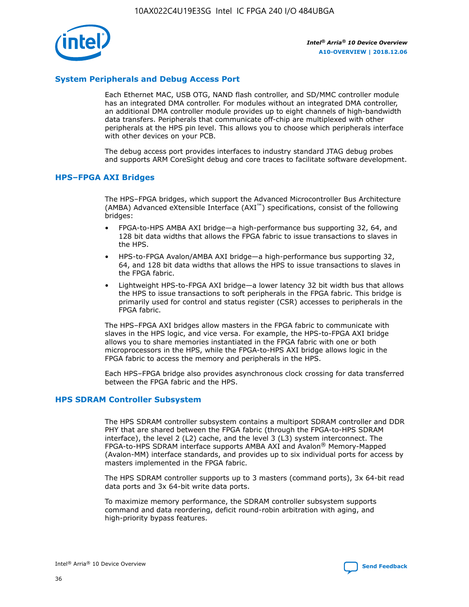

# **System Peripherals and Debug Access Port**

Each Ethernet MAC, USB OTG, NAND flash controller, and SD/MMC controller module has an integrated DMA controller. For modules without an integrated DMA controller, an additional DMA controller module provides up to eight channels of high-bandwidth data transfers. Peripherals that communicate off-chip are multiplexed with other peripherals at the HPS pin level. This allows you to choose which peripherals interface with other devices on your PCB.

The debug access port provides interfaces to industry standard JTAG debug probes and supports ARM CoreSight debug and core traces to facilitate software development.

#### **HPS–FPGA AXI Bridges**

The HPS–FPGA bridges, which support the Advanced Microcontroller Bus Architecture (AMBA) Advanced eXtensible Interface (AXI™) specifications, consist of the following bridges:

- FPGA-to-HPS AMBA AXI bridge—a high-performance bus supporting 32, 64, and 128 bit data widths that allows the FPGA fabric to issue transactions to slaves in the HPS.
- HPS-to-FPGA Avalon/AMBA AXI bridge—a high-performance bus supporting 32, 64, and 128 bit data widths that allows the HPS to issue transactions to slaves in the FPGA fabric.
- Lightweight HPS-to-FPGA AXI bridge—a lower latency 32 bit width bus that allows the HPS to issue transactions to soft peripherals in the FPGA fabric. This bridge is primarily used for control and status register (CSR) accesses to peripherals in the FPGA fabric.

The HPS–FPGA AXI bridges allow masters in the FPGA fabric to communicate with slaves in the HPS logic, and vice versa. For example, the HPS-to-FPGA AXI bridge allows you to share memories instantiated in the FPGA fabric with one or both microprocessors in the HPS, while the FPGA-to-HPS AXI bridge allows logic in the FPGA fabric to access the memory and peripherals in the HPS.

Each HPS–FPGA bridge also provides asynchronous clock crossing for data transferred between the FPGA fabric and the HPS.

#### **HPS SDRAM Controller Subsystem**

The HPS SDRAM controller subsystem contains a multiport SDRAM controller and DDR PHY that are shared between the FPGA fabric (through the FPGA-to-HPS SDRAM interface), the level 2 (L2) cache, and the level 3 (L3) system interconnect. The FPGA-to-HPS SDRAM interface supports AMBA AXI and Avalon® Memory-Mapped (Avalon-MM) interface standards, and provides up to six individual ports for access by masters implemented in the FPGA fabric.

The HPS SDRAM controller supports up to 3 masters (command ports), 3x 64-bit read data ports and 3x 64-bit write data ports.

To maximize memory performance, the SDRAM controller subsystem supports command and data reordering, deficit round-robin arbitration with aging, and high-priority bypass features.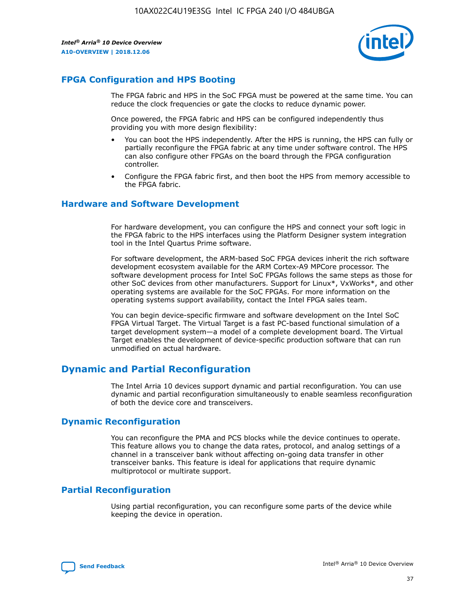

# **FPGA Configuration and HPS Booting**

The FPGA fabric and HPS in the SoC FPGA must be powered at the same time. You can reduce the clock frequencies or gate the clocks to reduce dynamic power.

Once powered, the FPGA fabric and HPS can be configured independently thus providing you with more design flexibility:

- You can boot the HPS independently. After the HPS is running, the HPS can fully or partially reconfigure the FPGA fabric at any time under software control. The HPS can also configure other FPGAs on the board through the FPGA configuration controller.
- Configure the FPGA fabric first, and then boot the HPS from memory accessible to the FPGA fabric.

## **Hardware and Software Development**

For hardware development, you can configure the HPS and connect your soft logic in the FPGA fabric to the HPS interfaces using the Platform Designer system integration tool in the Intel Quartus Prime software.

For software development, the ARM-based SoC FPGA devices inherit the rich software development ecosystem available for the ARM Cortex-A9 MPCore processor. The software development process for Intel SoC FPGAs follows the same steps as those for other SoC devices from other manufacturers. Support for Linux\*, VxWorks\*, and other operating systems are available for the SoC FPGAs. For more information on the operating systems support availability, contact the Intel FPGA sales team.

You can begin device-specific firmware and software development on the Intel SoC FPGA Virtual Target. The Virtual Target is a fast PC-based functional simulation of a target development system—a model of a complete development board. The Virtual Target enables the development of device-specific production software that can run unmodified on actual hardware.

# **Dynamic and Partial Reconfiguration**

The Intel Arria 10 devices support dynamic and partial reconfiguration. You can use dynamic and partial reconfiguration simultaneously to enable seamless reconfiguration of both the device core and transceivers.

# **Dynamic Reconfiguration**

You can reconfigure the PMA and PCS blocks while the device continues to operate. This feature allows you to change the data rates, protocol, and analog settings of a channel in a transceiver bank without affecting on-going data transfer in other transceiver banks. This feature is ideal for applications that require dynamic multiprotocol or multirate support.

# **Partial Reconfiguration**

Using partial reconfiguration, you can reconfigure some parts of the device while keeping the device in operation.

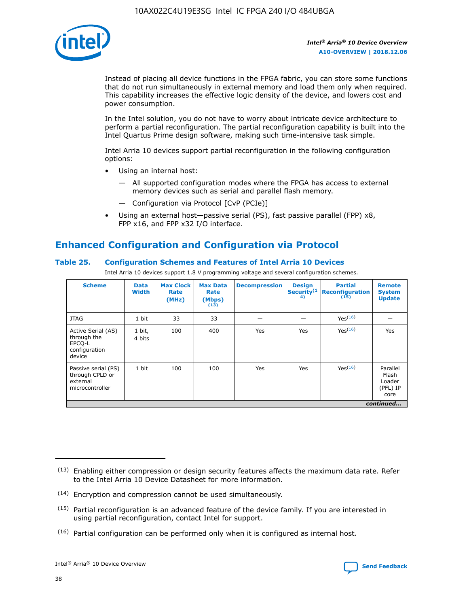

Instead of placing all device functions in the FPGA fabric, you can store some functions that do not run simultaneously in external memory and load them only when required. This capability increases the effective logic density of the device, and lowers cost and power consumption.

In the Intel solution, you do not have to worry about intricate device architecture to perform a partial reconfiguration. The partial reconfiguration capability is built into the Intel Quartus Prime design software, making such time-intensive task simple.

Intel Arria 10 devices support partial reconfiguration in the following configuration options:

- Using an internal host:
	- All supported configuration modes where the FPGA has access to external memory devices such as serial and parallel flash memory.
	- Configuration via Protocol [CvP (PCIe)]
- Using an external host—passive serial (PS), fast passive parallel (FPP) x8, FPP x16, and FPP x32 I/O interface.

# **Enhanced Configuration and Configuration via Protocol**

## **Table 25. Configuration Schemes and Features of Intel Arria 10 Devices**

Intel Arria 10 devices support 1.8 V programming voltage and several configuration schemes.

| <b>Scheme</b>                                                          | <b>Data</b><br><b>Width</b> | <b>Max Clock</b><br>Rate<br>(MHz) | <b>Max Data</b><br>Rate<br>(Mbps)<br>(13) | <b>Decompression</b> | <b>Design</b><br>Security <sup>(1</sup><br>4) | <b>Partial</b><br>Reconfiguration<br>(15) | <b>Remote</b><br><b>System</b><br><b>Update</b> |
|------------------------------------------------------------------------|-----------------------------|-----------------------------------|-------------------------------------------|----------------------|-----------------------------------------------|-------------------------------------------|-------------------------------------------------|
| <b>JTAG</b>                                                            | 1 bit                       | 33                                | 33                                        |                      |                                               | Yes(16)                                   |                                                 |
| Active Serial (AS)<br>through the<br>EPCO-L<br>configuration<br>device | 1 bit,<br>4 bits            | 100                               | 400                                       | Yes                  | Yes                                           | Yes(16)                                   | Yes                                             |
| Passive serial (PS)<br>through CPLD or<br>external<br>microcontroller  | 1 bit                       | 100                               | 100                                       | Yes                  | Yes                                           | Yes <sup>(16)</sup>                       | Parallel<br>Flash<br>Loader<br>(PFL) IP<br>core |
|                                                                        |                             |                                   |                                           |                      |                                               |                                           | continued                                       |

<sup>(13)</sup> Enabling either compression or design security features affects the maximum data rate. Refer to the Intel Arria 10 Device Datasheet for more information.

<sup>(14)</sup> Encryption and compression cannot be used simultaneously.

 $(15)$  Partial reconfiguration is an advanced feature of the device family. If you are interested in using partial reconfiguration, contact Intel for support.

 $(16)$  Partial configuration can be performed only when it is configured as internal host.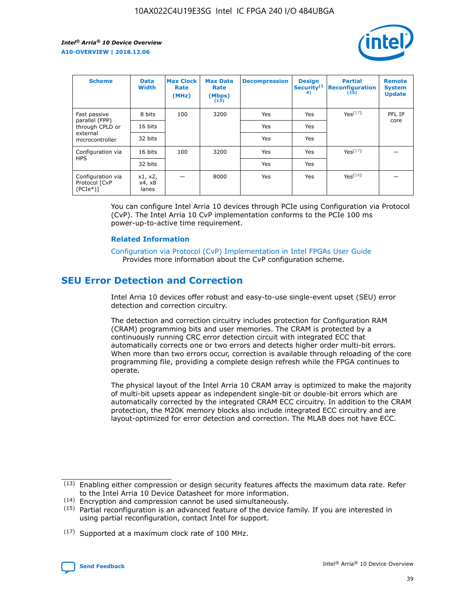

| <b>Scheme</b>                                    | <b>Data</b><br><b>Width</b> | <b>Max Clock</b><br>Rate<br>(MHz) | <b>Max Data</b><br>Rate<br>(Mbps)<br>(13) | <b>Decompression</b> | <b>Design</b><br>Security <sup>(1</sup><br>4) | <b>Partial</b><br><b>Reconfiguration</b><br>(15) | <b>Remote</b><br><b>System</b><br><b>Update</b> |
|--------------------------------------------------|-----------------------------|-----------------------------------|-------------------------------------------|----------------------|-----------------------------------------------|--------------------------------------------------|-------------------------------------------------|
| Fast passive                                     | 8 bits                      | 100                               | 3200                                      | Yes                  | Yes                                           | Yes(17)                                          | PFL IP                                          |
| parallel (FPP)<br>through CPLD or                | 16 bits                     |                                   |                                           | Yes                  | Yes                                           |                                                  | core                                            |
| external<br>microcontroller                      | 32 bits                     |                                   |                                           | Yes                  | Yes                                           |                                                  |                                                 |
| Configuration via                                | 16 bits                     | 100                               | 3200                                      | Yes                  | Yes                                           | Yes <sup>(17)</sup>                              |                                                 |
| <b>HPS</b>                                       | 32 bits                     |                                   |                                           | Yes                  | Yes                                           |                                                  |                                                 |
| Configuration via<br>Protocol [CvP<br>$(PCIe^*)$ | x1, x2,<br>x4, x8<br>lanes  |                                   | 8000                                      | Yes                  | Yes                                           | Yes(16)                                          |                                                 |

You can configure Intel Arria 10 devices through PCIe using Configuration via Protocol (CvP). The Intel Arria 10 CvP implementation conforms to the PCIe 100 ms power-up-to-active time requirement.

### **Related Information**

[Configuration via Protocol \(CvP\) Implementation in Intel FPGAs User Guide](https://www.intel.com/content/www/us/en/programmable/documentation/dsu1441819344145.html#dsu1442269728522) Provides more information about the CvP configuration scheme.

# **SEU Error Detection and Correction**

Intel Arria 10 devices offer robust and easy-to-use single-event upset (SEU) error detection and correction circuitry.

The detection and correction circuitry includes protection for Configuration RAM (CRAM) programming bits and user memories. The CRAM is protected by a continuously running CRC error detection circuit with integrated ECC that automatically corrects one or two errors and detects higher order multi-bit errors. When more than two errors occur, correction is available through reloading of the core programming file, providing a complete design refresh while the FPGA continues to operate.

The physical layout of the Intel Arria 10 CRAM array is optimized to make the majority of multi-bit upsets appear as independent single-bit or double-bit errors which are automatically corrected by the integrated CRAM ECC circuitry. In addition to the CRAM protection, the M20K memory blocks also include integrated ECC circuitry and are layout-optimized for error detection and correction. The MLAB does not have ECC.

(14) Encryption and compression cannot be used simultaneously.

<sup>(17)</sup> Supported at a maximum clock rate of 100 MHz.



 $(13)$  Enabling either compression or design security features affects the maximum data rate. Refer to the Intel Arria 10 Device Datasheet for more information.

 $(15)$  Partial reconfiguration is an advanced feature of the device family. If you are interested in using partial reconfiguration, contact Intel for support.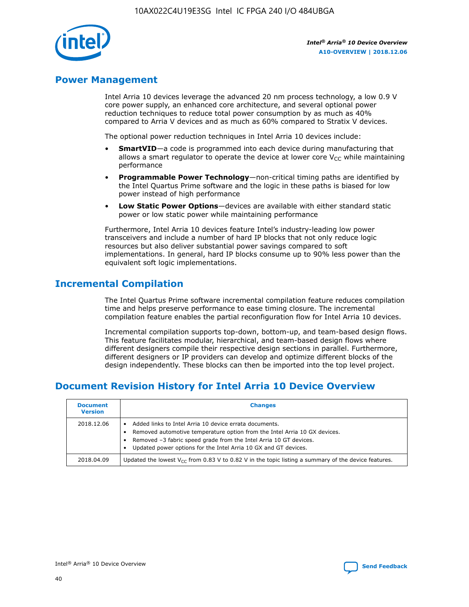

# **Power Management**

Intel Arria 10 devices leverage the advanced 20 nm process technology, a low 0.9 V core power supply, an enhanced core architecture, and several optional power reduction techniques to reduce total power consumption by as much as 40% compared to Arria V devices and as much as 60% compared to Stratix V devices.

The optional power reduction techniques in Intel Arria 10 devices include:

- **SmartVID**—a code is programmed into each device during manufacturing that allows a smart regulator to operate the device at lower core  $V_{CC}$  while maintaining performance
- **Programmable Power Technology**—non-critical timing paths are identified by the Intel Quartus Prime software and the logic in these paths is biased for low power instead of high performance
- **Low Static Power Options**—devices are available with either standard static power or low static power while maintaining performance

Furthermore, Intel Arria 10 devices feature Intel's industry-leading low power transceivers and include a number of hard IP blocks that not only reduce logic resources but also deliver substantial power savings compared to soft implementations. In general, hard IP blocks consume up to 90% less power than the equivalent soft logic implementations.

# **Incremental Compilation**

The Intel Quartus Prime software incremental compilation feature reduces compilation time and helps preserve performance to ease timing closure. The incremental compilation feature enables the partial reconfiguration flow for Intel Arria 10 devices.

Incremental compilation supports top-down, bottom-up, and team-based design flows. This feature facilitates modular, hierarchical, and team-based design flows where different designers compile their respective design sections in parallel. Furthermore, different designers or IP providers can develop and optimize different blocks of the design independently. These blocks can then be imported into the top level project.

# **Document Revision History for Intel Arria 10 Device Overview**

| <b>Document</b><br><b>Version</b> | <b>Changes</b>                                                                                                                                                                                                                                                              |
|-----------------------------------|-----------------------------------------------------------------------------------------------------------------------------------------------------------------------------------------------------------------------------------------------------------------------------|
| 2018.12.06                        | Added links to Intel Arria 10 device errata documents.<br>Removed automotive temperature option from the Intel Arria 10 GX devices.<br>Removed -3 fabric speed grade from the Intel Arria 10 GT devices.<br>Updated power options for the Intel Arria 10 GX and GT devices. |
| 2018.04.09                        | Updated the lowest $V_{CC}$ from 0.83 V to 0.82 V in the topic listing a summary of the device features.                                                                                                                                                                    |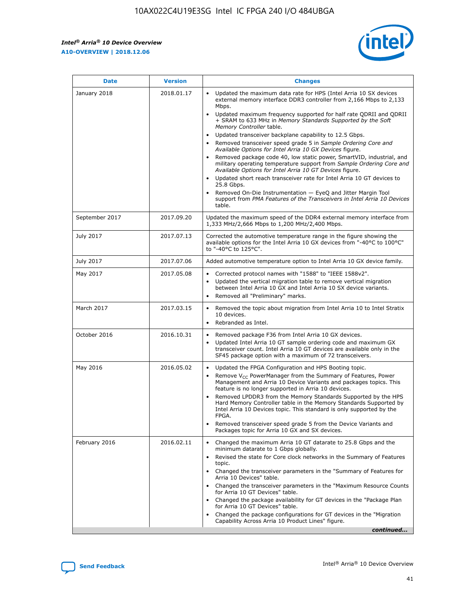$\overline{\phantom{a}}$ 

 $\mathsf{r}$ 



| January 2018<br>2018.01.17<br>Updated the maximum data rate for HPS (Intel Arria 10 SX devices<br>Mbps.<br>$\bullet$<br>+ SRAM to 633 MHz in Memory Standards Supported by the Soft<br>Memory Controller table.<br>Updated transceiver backplane capability to 12.5 Gbps.<br>$\bullet$<br>Removed transceiver speed grade 5 in Sample Ordering Core and<br>Available Options for Intel Arria 10 GX Devices figure.<br>$\bullet$<br>Available Options for Intel Arria 10 GT Devices figure.<br>Updated short reach transceiver rate for Intel Arria 10 GT devices to<br>$\bullet$<br>25.8 Gbps.<br>Removed On-Die Instrumentation - EyeQ and Jitter Margin Tool<br>table.<br>2017.09.20<br>September 2017<br>1,333 MHz/2,666 Mbps to 1,200 MHz/2,400 Mbps.<br>July 2017<br>2017.07.13<br>Corrected the automotive temperature range in the figure showing the<br>to "-40°C to 125°C".<br>July 2017<br>2017.07.06<br>May 2017<br>2017.05.08<br>Corrected protocol names with "1588" to "IEEE 1588v2".<br>$\bullet$<br>Updated the vertical migration table to remove vertical migration<br>$\bullet$<br>between Intel Arria 10 GX and Intel Arria 10 SX device variants.<br>Removed all "Preliminary" marks.<br>2017.03.15<br>March 2017<br>$\bullet$<br>10 devices.<br>Rebranded as Intel.<br>$\bullet$<br>October 2016<br>2016.10.31<br>Removed package F36 from Intel Arria 10 GX devices.<br>Updated Intel Arria 10 GT sample ordering code and maximum GX<br>$\bullet$<br>transceiver count. Intel Arria 10 GT devices are available only in the<br>SF45 package option with a maximum of 72 transceivers.<br>May 2016<br>2016.05.02<br>Updated the FPGA Configuration and HPS Booting topic.<br>$\bullet$<br>Remove $V_{CC}$ PowerManager from the Summary of Features, Power<br>Management and Arria 10 Device Variants and packages topics. This<br>feature is no longer supported in Arria 10 devices.<br>$\bullet$<br>Intel Arria 10 Devices topic. This standard is only supported by the<br>FPGA.<br>Removed transceiver speed grade 5 from the Device Variants and<br>Packages topic for Arria 10 GX and SX devices.<br>Changed the maximum Arria 10 GT datarate to 25.8 Gbps and the<br>February 2016<br>2016.02.11<br>$\bullet$<br>minimum datarate to 1 Gbps globally.<br>$\bullet$<br>topic.<br>Arria 10 Devices" table.<br>for Arria 10 GT Devices" table.<br>• Changed the package availability for GT devices in the "Package Plan<br>for Arria 10 GT Devices" table.<br>• Changed the package configurations for GT devices in the "Migration"<br>Capability Across Arria 10 Product Lines" figure. | <b>Date</b> | <b>Version</b> | <b>Changes</b>                                                                                                                                                                                                                                                                                                                                                     |
|------------------------------------------------------------------------------------------------------------------------------------------------------------------------------------------------------------------------------------------------------------------------------------------------------------------------------------------------------------------------------------------------------------------------------------------------------------------------------------------------------------------------------------------------------------------------------------------------------------------------------------------------------------------------------------------------------------------------------------------------------------------------------------------------------------------------------------------------------------------------------------------------------------------------------------------------------------------------------------------------------------------------------------------------------------------------------------------------------------------------------------------------------------------------------------------------------------------------------------------------------------------------------------------------------------------------------------------------------------------------------------------------------------------------------------------------------------------------------------------------------------------------------------------------------------------------------------------------------------------------------------------------------------------------------------------------------------------------------------------------------------------------------------------------------------------------------------------------------------------------------------------------------------------------------------------------------------------------------------------------------------------------------------------------------------------------------------------------------------------------------------------------------------------------------------------------------------------------------------------------------------------------------------------------------------------------------------------------------------------------------------------------------------------------------------------------------------------------------------------------------------------------------------------------------------------------------------------------------------------------|-------------|----------------|--------------------------------------------------------------------------------------------------------------------------------------------------------------------------------------------------------------------------------------------------------------------------------------------------------------------------------------------------------------------|
|                                                                                                                                                                                                                                                                                                                                                                                                                                                                                                                                                                                                                                                                                                                                                                                                                                                                                                                                                                                                                                                                                                                                                                                                                                                                                                                                                                                                                                                                                                                                                                                                                                                                                                                                                                                                                                                                                                                                                                                                                                                                                                                                                                                                                                                                                                                                                                                                                                                                                                                                                                                                                        |             |                | external memory interface DDR3 controller from 2,166 Mbps to 2,133<br>Updated maximum frequency supported for half rate QDRII and QDRII<br>Removed package code 40, low static power, SmartVID, industrial, and<br>military operating temperature support from Sample Ordering Core and<br>support from PMA Features of the Transceivers in Intel Arria 10 Devices |
|                                                                                                                                                                                                                                                                                                                                                                                                                                                                                                                                                                                                                                                                                                                                                                                                                                                                                                                                                                                                                                                                                                                                                                                                                                                                                                                                                                                                                                                                                                                                                                                                                                                                                                                                                                                                                                                                                                                                                                                                                                                                                                                                                                                                                                                                                                                                                                                                                                                                                                                                                                                                                        |             |                | Updated the maximum speed of the DDR4 external memory interface from                                                                                                                                                                                                                                                                                               |
|                                                                                                                                                                                                                                                                                                                                                                                                                                                                                                                                                                                                                                                                                                                                                                                                                                                                                                                                                                                                                                                                                                                                                                                                                                                                                                                                                                                                                                                                                                                                                                                                                                                                                                                                                                                                                                                                                                                                                                                                                                                                                                                                                                                                                                                                                                                                                                                                                                                                                                                                                                                                                        |             |                | available options for the Intel Arria 10 GX devices from "-40°C to 100°C"                                                                                                                                                                                                                                                                                          |
|                                                                                                                                                                                                                                                                                                                                                                                                                                                                                                                                                                                                                                                                                                                                                                                                                                                                                                                                                                                                                                                                                                                                                                                                                                                                                                                                                                                                                                                                                                                                                                                                                                                                                                                                                                                                                                                                                                                                                                                                                                                                                                                                                                                                                                                                                                                                                                                                                                                                                                                                                                                                                        |             |                | Added automotive temperature option to Intel Arria 10 GX device family.                                                                                                                                                                                                                                                                                            |
|                                                                                                                                                                                                                                                                                                                                                                                                                                                                                                                                                                                                                                                                                                                                                                                                                                                                                                                                                                                                                                                                                                                                                                                                                                                                                                                                                                                                                                                                                                                                                                                                                                                                                                                                                                                                                                                                                                                                                                                                                                                                                                                                                                                                                                                                                                                                                                                                                                                                                                                                                                                                                        |             |                |                                                                                                                                                                                                                                                                                                                                                                    |
|                                                                                                                                                                                                                                                                                                                                                                                                                                                                                                                                                                                                                                                                                                                                                                                                                                                                                                                                                                                                                                                                                                                                                                                                                                                                                                                                                                                                                                                                                                                                                                                                                                                                                                                                                                                                                                                                                                                                                                                                                                                                                                                                                                                                                                                                                                                                                                                                                                                                                                                                                                                                                        |             |                | Removed the topic about migration from Intel Arria 10 to Intel Stratix                                                                                                                                                                                                                                                                                             |
|                                                                                                                                                                                                                                                                                                                                                                                                                                                                                                                                                                                                                                                                                                                                                                                                                                                                                                                                                                                                                                                                                                                                                                                                                                                                                                                                                                                                                                                                                                                                                                                                                                                                                                                                                                                                                                                                                                                                                                                                                                                                                                                                                                                                                                                                                                                                                                                                                                                                                                                                                                                                                        |             |                |                                                                                                                                                                                                                                                                                                                                                                    |
|                                                                                                                                                                                                                                                                                                                                                                                                                                                                                                                                                                                                                                                                                                                                                                                                                                                                                                                                                                                                                                                                                                                                                                                                                                                                                                                                                                                                                                                                                                                                                                                                                                                                                                                                                                                                                                                                                                                                                                                                                                                                                                                                                                                                                                                                                                                                                                                                                                                                                                                                                                                                                        |             |                | Removed LPDDR3 from the Memory Standards Supported by the HPS<br>Hard Memory Controller table in the Memory Standards Supported by                                                                                                                                                                                                                                 |
|                                                                                                                                                                                                                                                                                                                                                                                                                                                                                                                                                                                                                                                                                                                                                                                                                                                                                                                                                                                                                                                                                                                                                                                                                                                                                                                                                                                                                                                                                                                                                                                                                                                                                                                                                                                                                                                                                                                                                                                                                                                                                                                                                                                                                                                                                                                                                                                                                                                                                                                                                                                                                        |             |                | Revised the state for Core clock networks in the Summary of Features<br>• Changed the transceiver parameters in the "Summary of Features for<br>• Changed the transceiver parameters in the "Maximum Resource Counts"<br>continued                                                                                                                                 |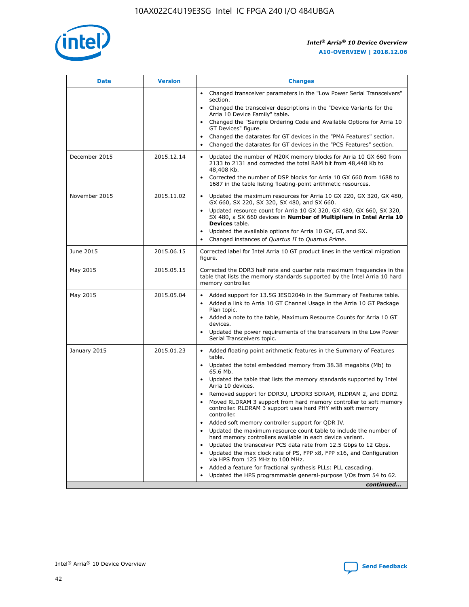

| <b>Date</b>   | <b>Version</b> | <b>Changes</b>                                                                                                                                                               |
|---------------|----------------|------------------------------------------------------------------------------------------------------------------------------------------------------------------------------|
|               |                | • Changed transceiver parameters in the "Low Power Serial Transceivers"<br>section.                                                                                          |
|               |                | • Changed the transceiver descriptions in the "Device Variants for the<br>Arria 10 Device Family" table.                                                                     |
|               |                | Changed the "Sample Ordering Code and Available Options for Arria 10<br>$\bullet$<br>GT Devices" figure.                                                                     |
|               |                | Changed the datarates for GT devices in the "PMA Features" section.                                                                                                          |
|               |                | Changed the datarates for GT devices in the "PCS Features" section.<br>$\bullet$                                                                                             |
| December 2015 | 2015.12.14     | Updated the number of M20K memory blocks for Arria 10 GX 660 from<br>2133 to 2131 and corrected the total RAM bit from 48,448 Kb to<br>48,408 Kb.                            |
|               |                | Corrected the number of DSP blocks for Arria 10 GX 660 from 1688 to<br>1687 in the table listing floating-point arithmetic resources.                                        |
| November 2015 | 2015.11.02     | Updated the maximum resources for Arria 10 GX 220, GX 320, GX 480,<br>$\bullet$<br>GX 660, SX 220, SX 320, SX 480, and SX 660.                                               |
|               |                | • Updated resource count for Arria 10 GX 320, GX 480, GX 660, SX 320,<br>SX 480, a SX 660 devices in Number of Multipliers in Intel Arria 10<br><b>Devices</b> table.        |
|               |                | Updated the available options for Arria 10 GX, GT, and SX.                                                                                                                   |
|               |                | Changed instances of Quartus II to Quartus Prime.<br>$\bullet$                                                                                                               |
| June 2015     | 2015.06.15     | Corrected label for Intel Arria 10 GT product lines in the vertical migration<br>figure.                                                                                     |
| May 2015      | 2015.05.15     | Corrected the DDR3 half rate and quarter rate maximum frequencies in the<br>table that lists the memory standards supported by the Intel Arria 10 hard<br>memory controller. |
| May 2015      | 2015.05.04     | • Added support for 13.5G JESD204b in the Summary of Features table.                                                                                                         |
|               |                | • Added a link to Arria 10 GT Channel Usage in the Arria 10 GT Package<br>Plan topic.                                                                                        |
|               |                | • Added a note to the table, Maximum Resource Counts for Arria 10 GT<br>devices.                                                                                             |
|               |                | • Updated the power requirements of the transceivers in the Low Power<br>Serial Transceivers topic.                                                                          |
| January 2015  | 2015.01.23     | • Added floating point arithmetic features in the Summary of Features<br>table.                                                                                              |
|               |                | • Updated the total embedded memory from 38.38 megabits (Mb) to<br>65.6 Mb.                                                                                                  |
|               |                | • Updated the table that lists the memory standards supported by Intel<br>Arria 10 devices.                                                                                  |
|               |                | Removed support for DDR3U, LPDDR3 SDRAM, RLDRAM 2, and DDR2.                                                                                                                 |
|               |                | Moved RLDRAM 3 support from hard memory controller to soft memory<br>controller. RLDRAM 3 support uses hard PHY with soft memory<br>controller.                              |
|               |                | Added soft memory controller support for QDR IV.<br>٠                                                                                                                        |
|               |                | Updated the maximum resource count table to include the number of<br>hard memory controllers available in each device variant.                                               |
|               |                | Updated the transceiver PCS data rate from 12.5 Gbps to 12 Gbps.<br>$\bullet$                                                                                                |
|               |                | Updated the max clock rate of PS, FPP x8, FPP x16, and Configuration<br>via HPS from 125 MHz to 100 MHz.                                                                     |
|               |                | Added a feature for fractional synthesis PLLs: PLL cascading.                                                                                                                |
|               |                | Updated the HPS programmable general-purpose I/Os from 54 to 62.<br>$\bullet$                                                                                                |
|               |                | continued                                                                                                                                                                    |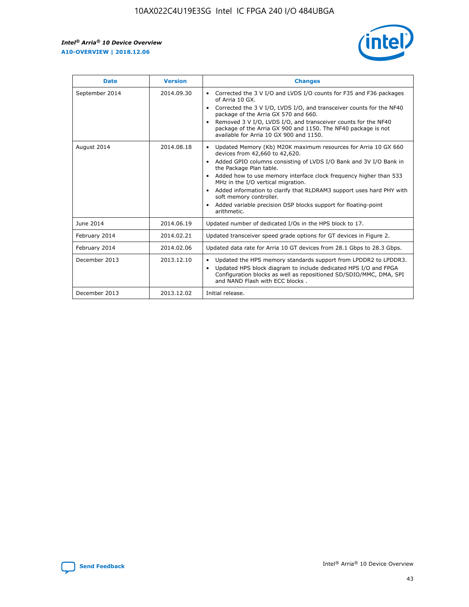r



| <b>Date</b>    | <b>Version</b> | <b>Changes</b>                                                                                                                                                                                                                                                                                                                                                                                                                                                                                                                         |
|----------------|----------------|----------------------------------------------------------------------------------------------------------------------------------------------------------------------------------------------------------------------------------------------------------------------------------------------------------------------------------------------------------------------------------------------------------------------------------------------------------------------------------------------------------------------------------------|
| September 2014 | 2014.09.30     | Corrected the 3 V I/O and LVDS I/O counts for F35 and F36 packages<br>of Arria 10 GX.<br>Corrected the 3 V I/O, LVDS I/O, and transceiver counts for the NF40<br>$\bullet$<br>package of the Arria GX 570 and 660.<br>Removed 3 V I/O, LVDS I/O, and transceiver counts for the NF40<br>package of the Arria GX 900 and 1150. The NF40 package is not<br>available for Arria 10 GX 900 and 1150.                                                                                                                                       |
| August 2014    | 2014.08.18     | Updated Memory (Kb) M20K maximum resources for Arria 10 GX 660<br>devices from 42,660 to 42,620.<br>Added GPIO columns consisting of LVDS I/O Bank and 3V I/O Bank in<br>$\bullet$<br>the Package Plan table.<br>Added how to use memory interface clock frequency higher than 533<br>$\bullet$<br>MHz in the I/O vertical migration.<br>Added information to clarify that RLDRAM3 support uses hard PHY with<br>$\bullet$<br>soft memory controller.<br>Added variable precision DSP blocks support for floating-point<br>arithmetic. |
| June 2014      | 2014.06.19     | Updated number of dedicated I/Os in the HPS block to 17.                                                                                                                                                                                                                                                                                                                                                                                                                                                                               |
| February 2014  | 2014.02.21     | Updated transceiver speed grade options for GT devices in Figure 2.                                                                                                                                                                                                                                                                                                                                                                                                                                                                    |
| February 2014  | 2014.02.06     | Updated data rate for Arria 10 GT devices from 28.1 Gbps to 28.3 Gbps.                                                                                                                                                                                                                                                                                                                                                                                                                                                                 |
| December 2013  | 2013.12.10     | Updated the HPS memory standards support from LPDDR2 to LPDDR3.<br>Updated HPS block diagram to include dedicated HPS I/O and FPGA<br>$\bullet$<br>Configuration blocks as well as repositioned SD/SDIO/MMC, DMA, SPI<br>and NAND Flash with ECC blocks.                                                                                                                                                                                                                                                                               |
| December 2013  | 2013.12.02     | Initial release.                                                                                                                                                                                                                                                                                                                                                                                                                                                                                                                       |